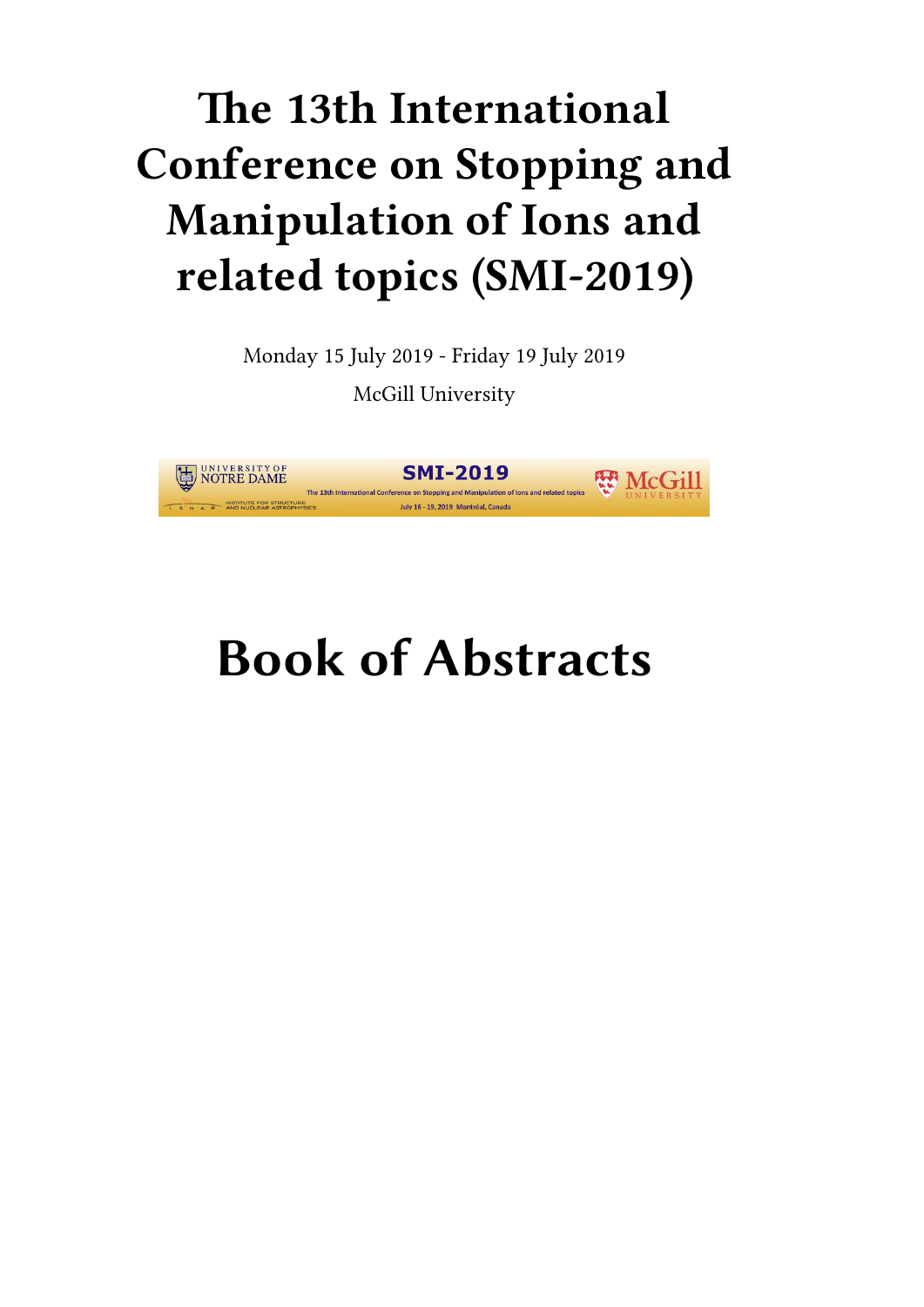## **The 13th International Conference on Stopping and Manipulation of Ions and related topics (SMI-2019)**

Monday 15 July 2019 - Friday 19 July 2019 McGill University



# **Book of Abstracts**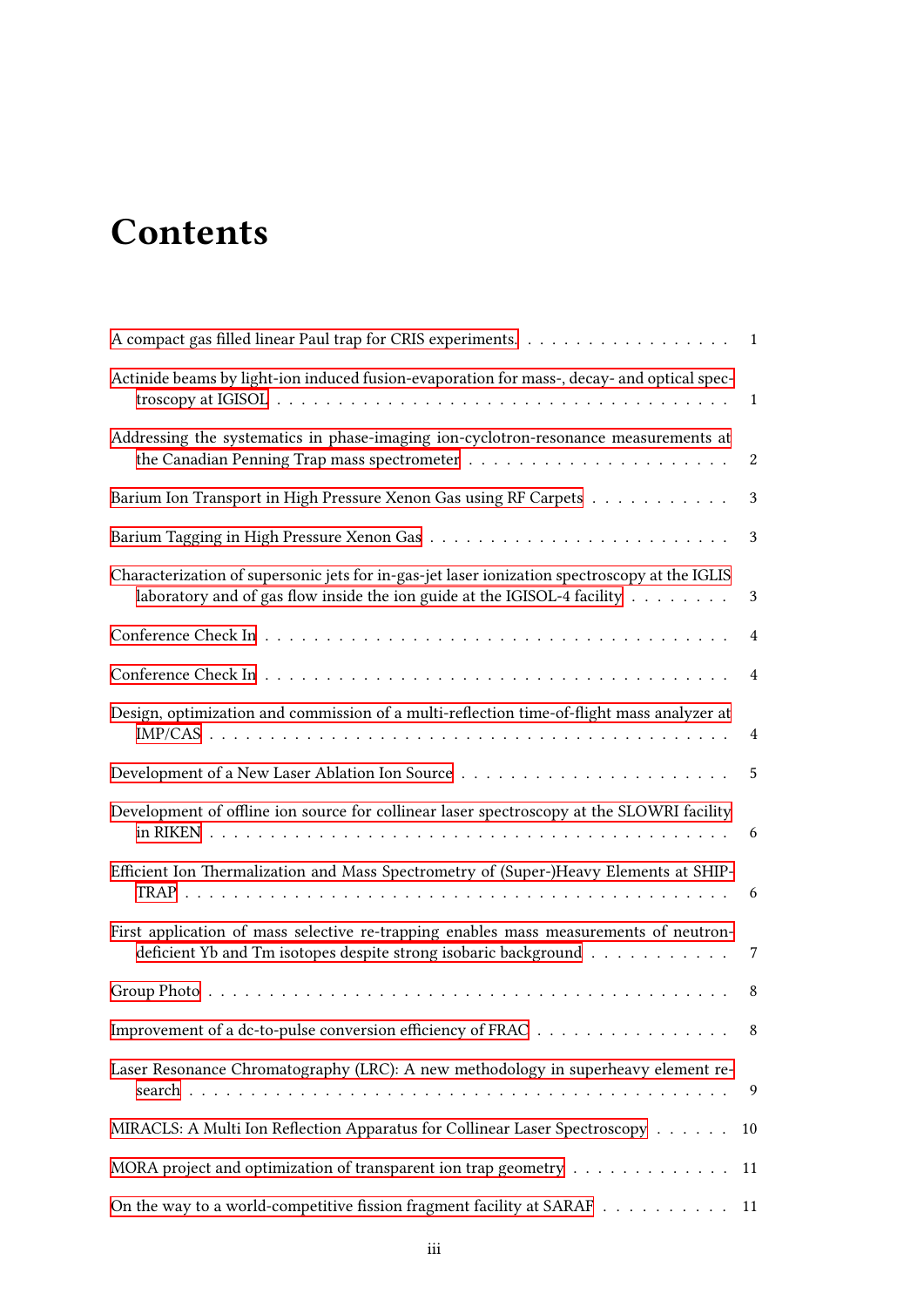## **Contents**

|                                                                                                                                                                           | $\overline{1}$            |
|---------------------------------------------------------------------------------------------------------------------------------------------------------------------------|---------------------------|
| Actinide beams by light-ion induced fusion-evaporation for mass-, decay- and optical spec-                                                                                | $\mathbf{1}$              |
| Addressing the systematics in phase-imaging ion-cyclotron-resonance measurements at                                                                                       | $\boldsymbol{2}$          |
| Barium Ion Transport in High Pressure Xenon Gas using RF Carpets                                                                                                          | $\boldsymbol{\mathsf{3}}$ |
|                                                                                                                                                                           | 3                         |
| Characterization of supersonic jets for in-gas-jet laser ionization spectroscopy at the IGLIS<br>laboratory and of gas flow inside the ion guide at the IGISOL-4 facility | $\mathfrak{Z}$            |
|                                                                                                                                                                           | 4                         |
|                                                                                                                                                                           | 4                         |
| Design, optimization and commission of a multi-reflection time-of-flight mass analyzer at                                                                                 | $\overline{4}$            |
|                                                                                                                                                                           | 5                         |
| Development of offline ion source for collinear laser spectroscopy at the SLOWRI facility                                                                                 | 6                         |
| Efficient Ion Thermalization and Mass Spectrometry of (Super-)Heavy Elements at SHIP-                                                                                     | -6                        |
| First application of mass selective re-trapping enables mass measurements of neutron-<br>deficient Yb and Tm isotopes despite strong isobaric background                  | $\overline{7}$            |
|                                                                                                                                                                           | 8                         |
| Improvement of a dc-to-pulse conversion efficiency of FRAC                                                                                                                | 8                         |
| Laser Resonance Chromatography (LRC): A new methodology in superheavy element re-                                                                                         | 9                         |
| MIRACLS: A Multi Ion Reflection Apparatus for Collinear Laser Spectroscopy                                                                                                | 10                        |
| MORA project and optimization of transparent ion trap geometry                                                                                                            | 11                        |
| On the way to a world-competitive fission fragment facility at SARAF                                                                                                      | 11                        |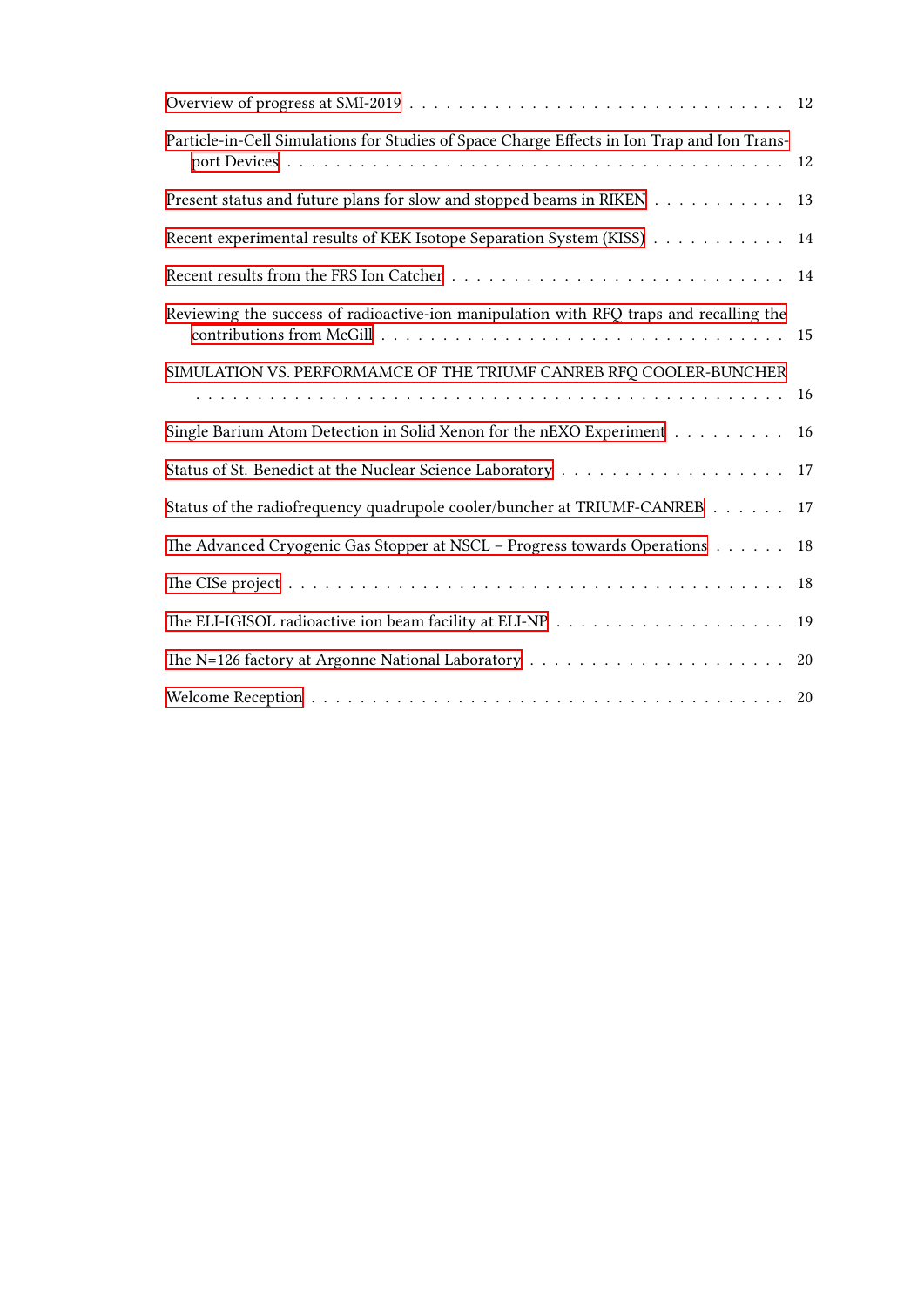| Particle-in-Cell Simulations for Studies of Space Charge Effects in Ion Trap and Ion Trans-        | -12 |
|----------------------------------------------------------------------------------------------------|-----|
| Present status and future plans for slow and stopped beams in RIKEN                                | 13  |
| Recent experimental results of KEK Isotope Separation System (KISS)                                | 14  |
|                                                                                                    |     |
| Reviewing the success of radioactive-ion manipulation with RFQ traps and recalling the             |     |
| SIMULATION VS. PERFORMAMCE OF THE TRIUMF CANREB RFO COOLER-BUNCHER                                 | 16  |
| Single Barium Atom Detection in Solid Xenon for the nEXO Experiment                                | 16  |
|                                                                                                    | 17  |
| Status of the radiofrequency quadrupole cooler/buncher at TRIUMF-CANREB                            | 17  |
| The Advanced Cryogenic Gas Stopper at NSCL – Progress towards Operations                           | 18  |
|                                                                                                    | 18  |
|                                                                                                    | 19  |
| The N=126 factory at Argonne National Laboratory $\dots \dots \dots \dots \dots \dots \dots \dots$ | 20  |
|                                                                                                    |     |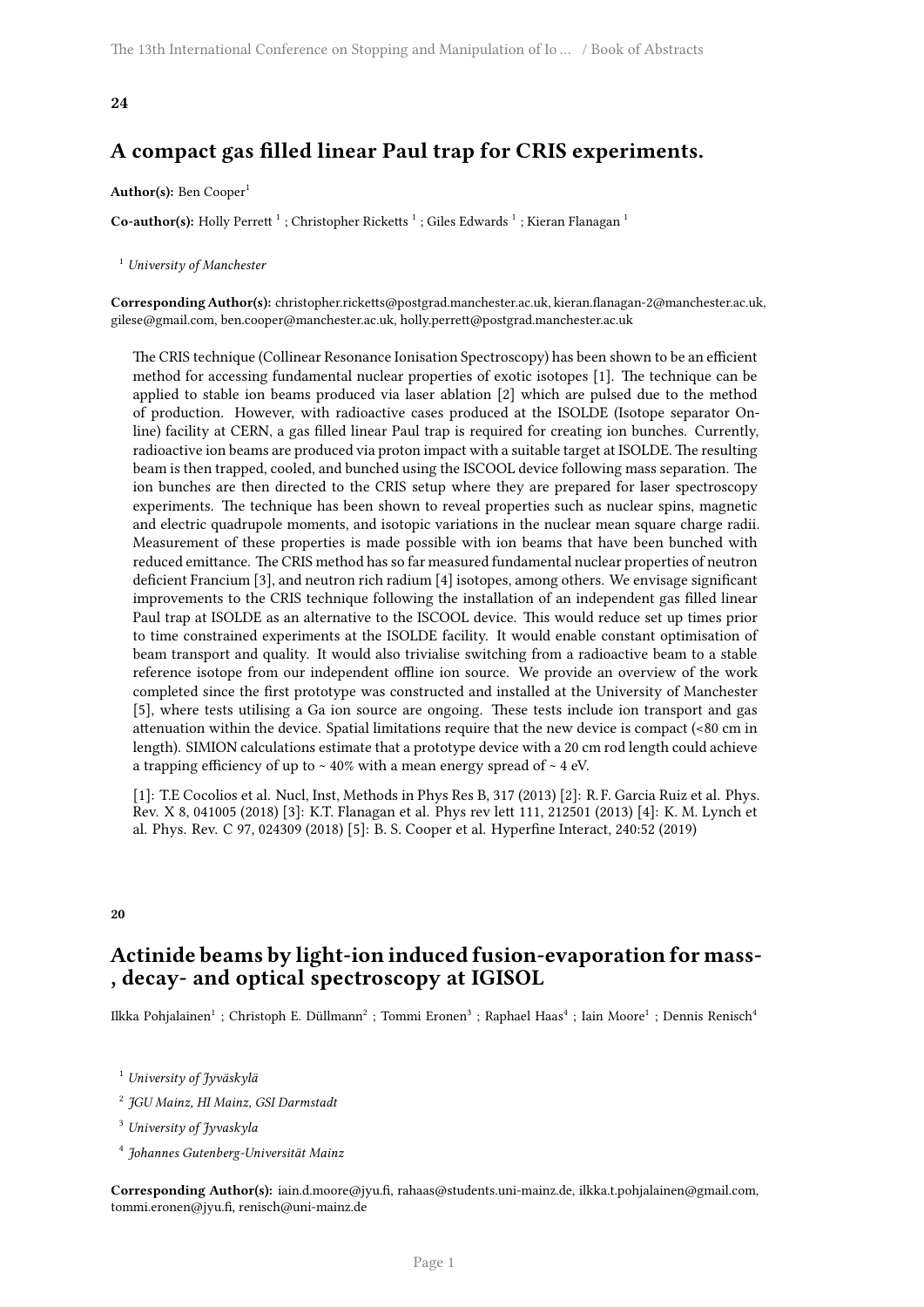## <span id="page-4-0"></span>**A compact gas filled linear Paul trap for CRIS experiments.**

#### Author(s): Ben Cooper<sup>1</sup>

**Co-author(s):** Holly Perrett <sup>1</sup> ; Christopher Ricketts <sup>1</sup> ; Giles Edwards <sup>1</sup> ; Kieran Flanagan <sup>1</sup>

<sup>1</sup> *University of Manchester*

**Corresponding Author(s):** christopher.ricketts@postgrad.manchester.ac.uk, kieran.flanagan-2@manchester.ac.uk, gilese@gmail.com, ben.cooper@manchester.ac.uk, holly.perrett@postgrad.manchester.ac.uk

The CRIS technique (Collinear Resonance Ionisation Spectroscopy) has been shown to be an efficient method for accessing fundamental nuclear properties of exotic isotopes [1]. The technique can be applied to stable ion beams produced via laser ablation [2] which are pulsed due to the method of production. However, with radioactive cases produced at the ISOLDE (Isotope separator Online) facility at CERN, a gas filled linear Paul trap is required for creating ion bunches. Currently, radioactive ion beams are produced via proton impact with a suitable target at ISOLDE. The resulting beam is then trapped, cooled, and bunched using the ISCOOL device following mass separation. The ion bunches are then directed to the CRIS setup where they are prepared for laser spectroscopy experiments. The technique has been shown to reveal properties such as nuclear spins, magnetic and electric quadrupole moments, and isotopic variations in the nuclear mean square charge radii. Measurement of these properties is made possible with ion beams that have been bunched with reduced emittance. The CRIS method has so far measured fundamental nuclear properties of neutron deficient Francium [3], and neutron rich radium [4] isotopes, among others. We envisage significant improvements to the CRIS technique following the installation of an independent gas filled linear Paul trap at ISOLDE as an alternative to the ISCOOL device. This would reduce set up times prior to time constrained experiments at the ISOLDE facility. It would enable constant optimisation of beam transport and quality. It would also trivialise switching from a radioactive beam to a stable reference isotope from our independent offline ion source. We provide an overview of the work completed since the first prototype was constructed and installed at the University of Manchester [5], where tests utilising a Ga ion source are ongoing. These tests include ion transport and gas attenuation within the device. Spatial limitations require that the new device is compact (<80 cm in length). SIMION calculations estimate that a prototype device with a 20 cm rod length could achieve a trapping efficiency of up to  $\sim$  40% with a mean energy spread of  $\sim$  4 eV.

[1]: T.E Cocolios et al. Nucl, Inst, Methods in Phys Res B, 317 (2013) [2]: R. F. Garcia Ruiz et al. Phys. Rev. X 8, 041005 (2018) [3]: K.T. Flanagan et al. Phys rev lett 111, 212501 (2013) [4]: K. M. Lynch et al. Phys. Rev. C 97, 024309 (2018) [5]: B. S. Cooper et al. Hyperfine Interact, 240:52 (2019)

#### <span id="page-4-1"></span>**20**

## **Actinide beams by light-ion induced fusion-evaporation for mass- , decay- and optical spectroscopy at IGISOL**

Ilkka Pohjalainen $^1$  ; Christoph E. Düllmann $^2$  ; Tommi Eronen $^3$  ; Raphael Haas $^4$  ; Iain Moore $^1$  ; Dennis Renisch $^4$ 

<sup>1</sup> *University of Jyväskylä*

2 *JGU Mainz, HI Mainz, GSI Darmstadt*

<sup>3</sup> *University of Jyvaskyla*

4 *Johannes Gutenberg-Universität Mainz*

**Corresponding Author(s):** iain.d.moore@jyu.fi, rahaas@students.uni-mainz.de, ilkka.t.pohjalainen@gmail.com, tommi.eronen@jyu.fi, renisch@uni-mainz.de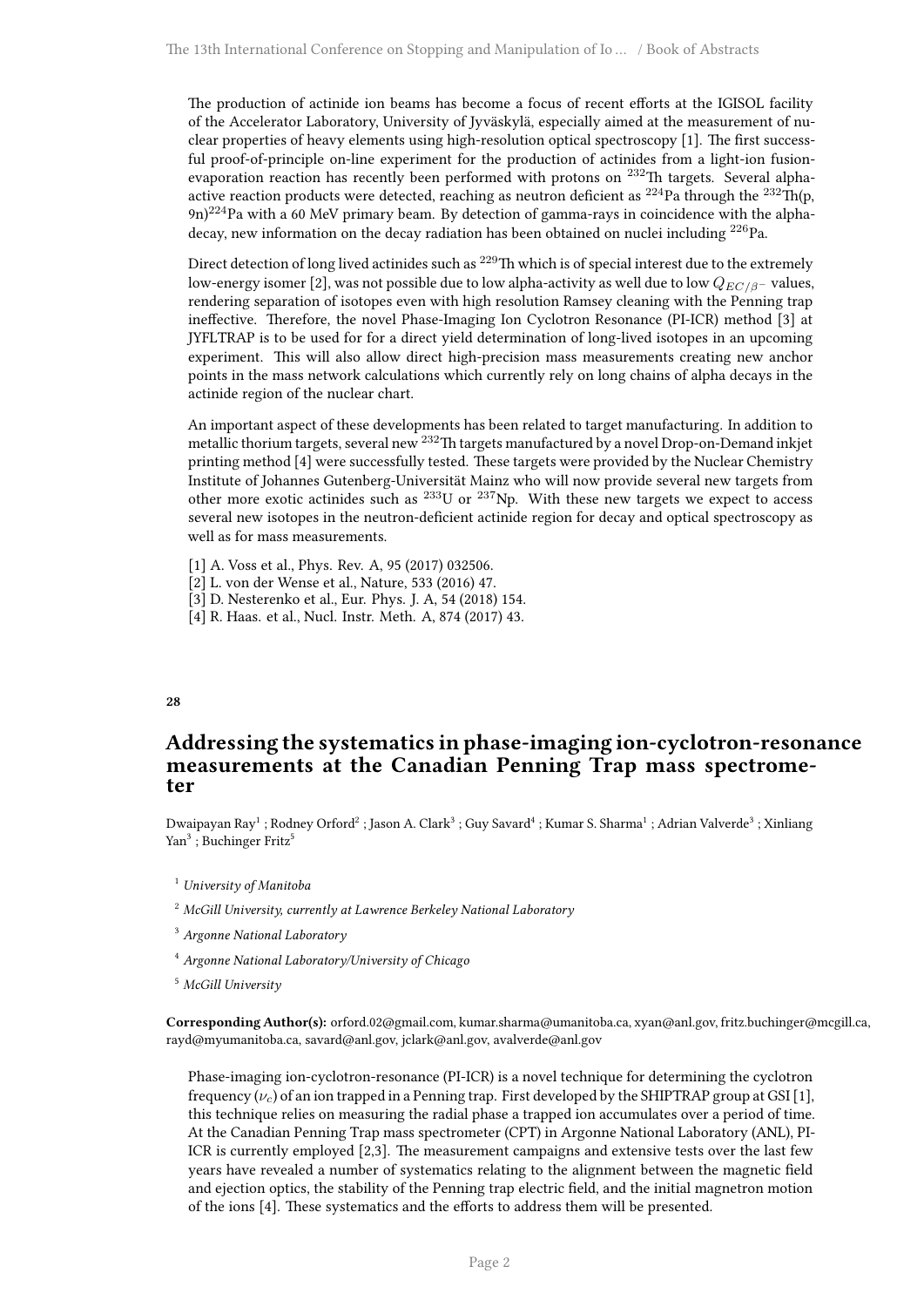The production of actinide ion beams has become a focus of recent efforts at the IGISOL facility of the Accelerator Laboratory, University of Jyväskylä, especially aimed at the measurement of nuclear properties of heavy elements using high-resolution optical spectroscopy [1]. The first successful proof-of-principle on-line experiment for the production of actinides from a light-ion fusionevaporation reaction has recently been performed with protons on <sup>232</sup>Th targets. Several alphaactive reaction products were detected, reaching as neutron deficient as  $^{224}$ Pa through the  $^{232}$ Th(p,  $9n)^{224}$ Pa with a 60 MeV primary beam. By detection of gamma-rays in coincidence with the alphadecay, new information on the decay radiation has been obtained on nuclei including <sup>226</sup>Pa.

Direct detection of long lived actinides such as <sup>229</sup>Th which is of special interest due to the extremely low-energy isomer [2], was not possible due to low alpha-activity as well due to low  $Q_{EC/B}$  – values, rendering separation of isotopes even with high resolution Ramsey cleaning with the Penning trap ineffective. Therefore, the novel Phase-Imaging Ion Cyclotron Resonance (PI-ICR) method [3] at JYFLTRAP is to be used for for a direct yield determination of long-lived isotopes in an upcoming experiment. This will also allow direct high-precision mass measurements creating new anchor points in the mass network calculations which currently rely on long chains of alpha decays in the actinide region of the nuclear chart.

An important aspect of these developments has been related to target manufacturing. In addition to metallic thorium targets, several new <sup>232</sup>Th targets manufactured by a novel Drop-on-Demand inkjet printing method [4] were successfully tested. These targets were provided by the Nuclear Chemistry Institute of Johannes Gutenberg-Universität Mainz who will now provide several new targets from other more exotic actinides such as <sup>233</sup>U or <sup>237</sup>Np. With these new targets we expect to access several new isotopes in the neutron-deficient actinide region for decay and optical spectroscopy as well as for mass measurements.

- [1] A. Voss et al., Phys. Rev. A, 95 (2017) 032506.
- [2] L. von der Wense et al., Nature, 533 (2016) 47.
- [3] D. Nesterenko et al., Eur. Phys. J. A, 54 (2018) 154.
- [4] R. Haas. et al., Nucl. Instr. Meth. A, 874 (2017) 43.

#### <span id="page-5-0"></span>**28**

## **Addressing the systematics in phase-imaging ion-cyclotron-resonance measurements at the Canadian Penning Trap mass spectrometer**

Dwaipayan Ray<sup>1</sup> ; Rodney Orford<sup>2</sup> ; Jason A. Clark $^3$  ; Guy Savard $^4$  ; Kumar S. Sharma $^1$  ; Adrian Valverde $^3$  ; Xinliang Yan<sup>3</sup>; Buchinger Fritz<sup>5</sup>

- <sup>1</sup> *University of Manitoba*
- <sup>2</sup> *McGill University, currently at Lawrence Berkeley National Laboratory*
- <sup>3</sup> *Argonne National Laboratory*
- <sup>4</sup> *Argonne National Laboratory/University of Chicago*
- <sup>5</sup> *McGill University*

**Corresponding Author(s):** orford.02@gmail.com, kumar.sharma@umanitoba.ca, xyan@anl.gov, fritz.buchinger@mcgill.ca, rayd@myumanitoba.ca, savard@anl.gov, jclark@anl.gov, avalverde@anl.gov

Phase-imaging ion-cyclotron-resonance (PI-ICR) is a novel technique for determining the cyclotron frequency  $(\nu_c)$  of an ion trapped in a Penning trap. First developed by the SHIPTRAP group at GSI [1], this technique relies on measuring the radial phase a trapped ion accumulates over a period of time. At the Canadian Penning Trap mass spectrometer (CPT) in Argonne National Laboratory (ANL), PI-ICR is currently employed [2,3]. The measurement campaigns and extensive tests over the last few years have revealed a number of systematics relating to the alignment between the magnetic field and ejection optics, the stability of the Penning trap electric field, and the initial magnetron motion of the ions [4]. These systematics and the efforts to address them will be presented.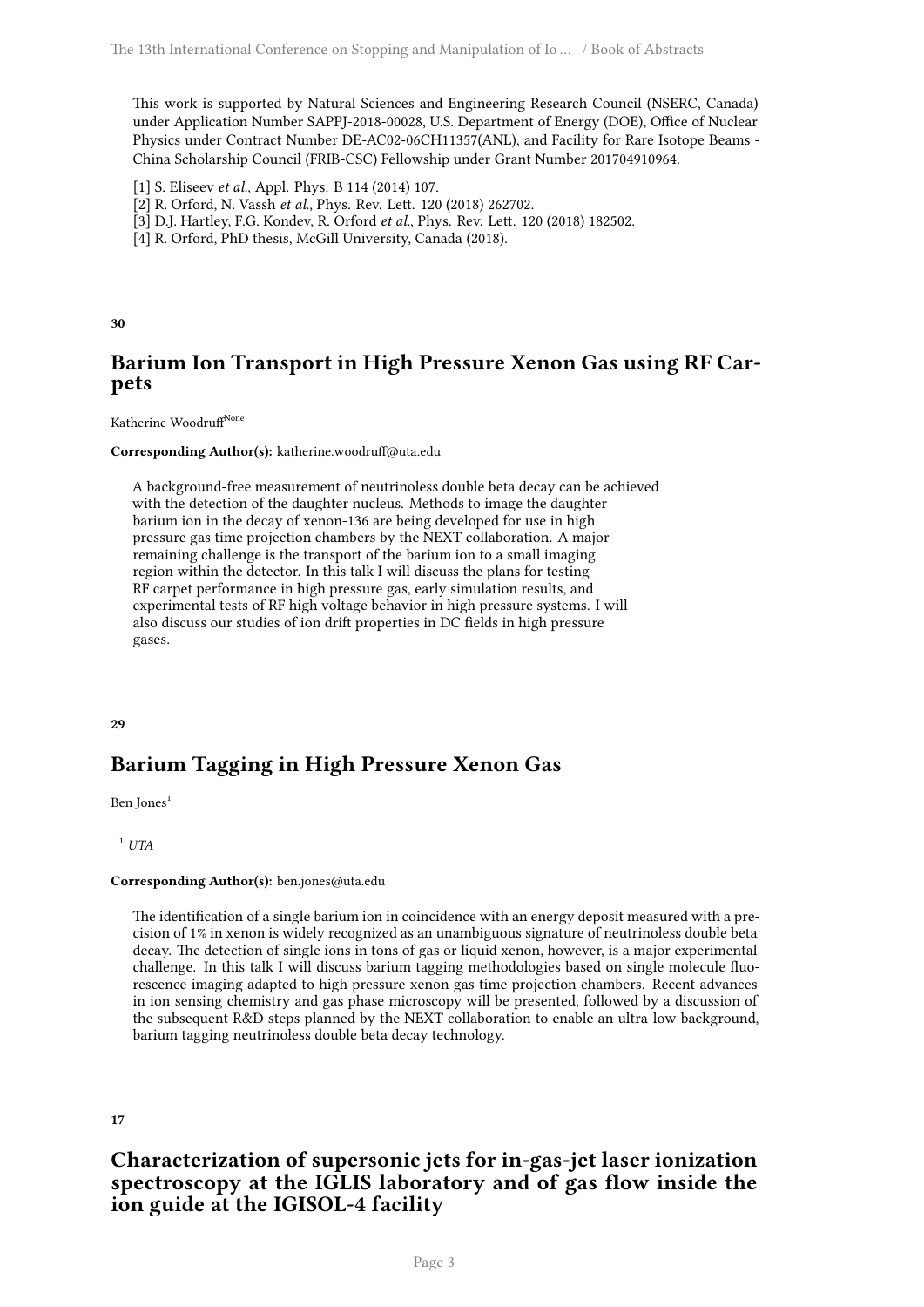This work is supported by Natural Sciences and Engineering Research Council (NSERC, Canada) under Application Number SAPPJ-2018-00028, U.S. Department of Energy (DOE), Office of Nuclear Physics under Contract Number DE-AC02-06CH11357(ANL), and Facility for Rare Isotope Beams - China Scholarship Council (FRIB-CSC) Fellowship under Grant Number 201704910964.

- [1] S. Eliseev *et al.*, Appl. Phys. B 114 (2014) 107.
- [2] R. Orford, N. Vassh *et al.*, Phys. Rev. Lett. 120 (2018) 262702.
- [3] D.J. Hartley, F.G. Kondev, R. Orford *et al.*, Phys. Rev. Lett. 120 (2018) 182502.
- [4] R. Orford, PhD thesis, McGill University, Canada (2018).

<span id="page-6-0"></span>**30**

## **Barium Ion Transport in High Pressure Xenon Gas using RF Carpets**

#### Katherine Woodruff<sup>None</sup>

#### **Corresponding Author(s):** katherine.woodruff@uta.edu

A background-free measurement of neutrinoless double beta decay can be achieved with the detection of the daughter nucleus. Methods to image the daughter barium ion in the decay of xenon-136 are being developed for use in high pressure gas time projection chambers by the NEXT collaboration. A major remaining challenge is the transport of the barium ion to a small imaging region within the detector. In this talk I will discuss the plans for testing RF carpet performance in high pressure gas, early simulation results, and experimental tests of RF high voltage behavior in high pressure systems. I will also discuss our studies of ion drift properties in DC fields in high pressure gases.

#### <span id="page-6-1"></span>**29**

## **Barium Tagging in High Pressure Xenon Gas**

Ben Jones<sup>1</sup>

<sup>1</sup> *UTA*

#### **Corresponding Author(s):** ben.jones@uta.edu

The identification of a single barium ion in coincidence with an energy deposit measured with a precision of 1% in xenon is widely recognized as an unambiguous signature of neutrinoless double beta decay. The detection of single ions in tons of gas or liquid xenon, however, is a major experimental challenge. In this talk I will discuss barium tagging methodologies based on single molecule fluorescence imaging adapted to high pressure xenon gas time projection chambers. Recent advances in ion sensing chemistry and gas phase microscopy will be presented, followed by a discussion of the subsequent R&D steps planned by the NEXT collaboration to enable an ultra-low background, barium tagging neutrinoless double beta decay technology.

#### <span id="page-6-2"></span>**17**

## **Characterization of supersonic jets for in-gas-jet laser ionization spectroscopy at the IGLIS laboratory and of gas flow inside the ion guide at the IGISOL-4 facility**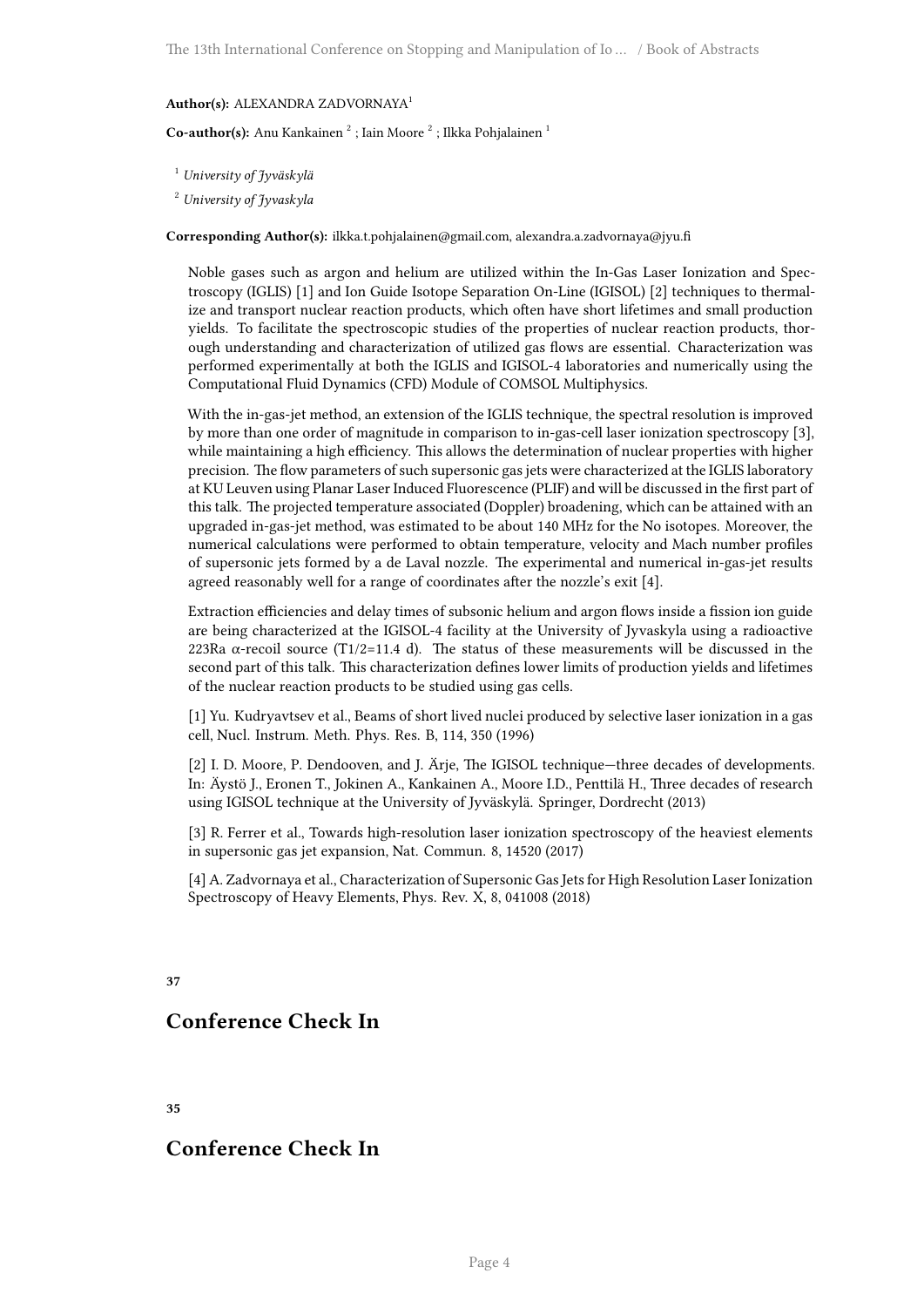#### **Author(s):** ALEXANDRA ZADVORNAYA<sup>1</sup>

Co-author(s): Anu Kankainen<sup>2</sup>; Iain Moore<sup>2</sup>; Ilkka Pohjalainen<sup>1</sup>

<sup>1</sup> *University of Jyväskylä*

<sup>2</sup> *University of Jyvaskyla*

**Corresponding Author(s):** ilkka.t.pohjalainen@gmail.com, alexandra.a.zadvornaya@jyu.fi

Noble gases such as argon and helium are utilized within the In-Gas Laser Ionization and Spectroscopy (IGLIS) [1] and Ion Guide Isotope Separation On-Line (IGISOL) [2] techniques to thermalize and transport nuclear reaction products, which often have short lifetimes and small production yields. To facilitate the spectroscopic studies of the properties of nuclear reaction products, thorough understanding and characterization of utilized gas flows are essential. Characterization was performed experimentally at both the IGLIS and IGISOL-4 laboratories and numerically using the Computational Fluid Dynamics (CFD) Module of COMSOL Multiphysics.

With the in-gas-jet method, an extension of the IGLIS technique, the spectral resolution is improved by more than one order of magnitude in comparison to in-gas-cell laser ionization spectroscopy [3], while maintaining a high efficiency. This allows the determination of nuclear properties with higher precision. The flow parameters of such supersonic gas jets were characterized at the IGLIS laboratory at KU Leuven using Planar Laser Induced Fluorescence (PLIF) and will be discussed in the first part of this talk. The projected temperature associated (Doppler) broadening, which can be attained with an upgraded in-gas-jet method, was estimated to be about 140 MHz for the No isotopes. Moreover, the numerical calculations were performed to obtain temperature, velocity and Mach number profiles of supersonic jets formed by a de Laval nozzle. The experimental and numerical in-gas-jet results agreed reasonably well for a range of coordinates after the nozzle's exit [4].

Extraction efficiencies and delay times of subsonic helium and argon flows inside a fission ion guide are being characterized at the IGISOL-4 facility at the University of Jyvaskyla using a radioactive 223Ra  $\alpha$ -recoil source (T1/2=11.4 d). The status of these measurements will be discussed in the second part of this talk. This characterization defines lower limits of production yields and lifetimes of the nuclear reaction products to be studied using gas cells.

[1] Yu. Kudryavtsev et al., Beams of short lived nuclei produced by selective laser ionization in a gas cell, Nucl. Instrum. Meth. Phys. Res. B, 114, 350 (1996)

[2] I. D. Moore, P. Dendooven, and J. Ärje, The IGISOL technique—three decades of developments. In: Äystö J., Eronen T., Jokinen A., Kankainen A., Moore I.D., Penttilä H., Three decades of research using IGISOL technique at the University of Jyväskylä. Springer, Dordrecht (2013)

[3] R. Ferrer et al., Towards high-resolution laser ionization spectroscopy of the heaviest elements in supersonic gas jet expansion, Nat. Commun. 8, 14520 (2017)

[4] A. Zadvornaya et al., Characterization of Supersonic Gas Jets for High Resolution Laser Ionization Spectroscopy of Heavy Elements, Phys. Rev. X, 8, 041008 (2018)

#### <span id="page-7-0"></span>**37**

## **Conference Check In**

<span id="page-7-1"></span>**35**

## <span id="page-7-2"></span>**Conference Check In**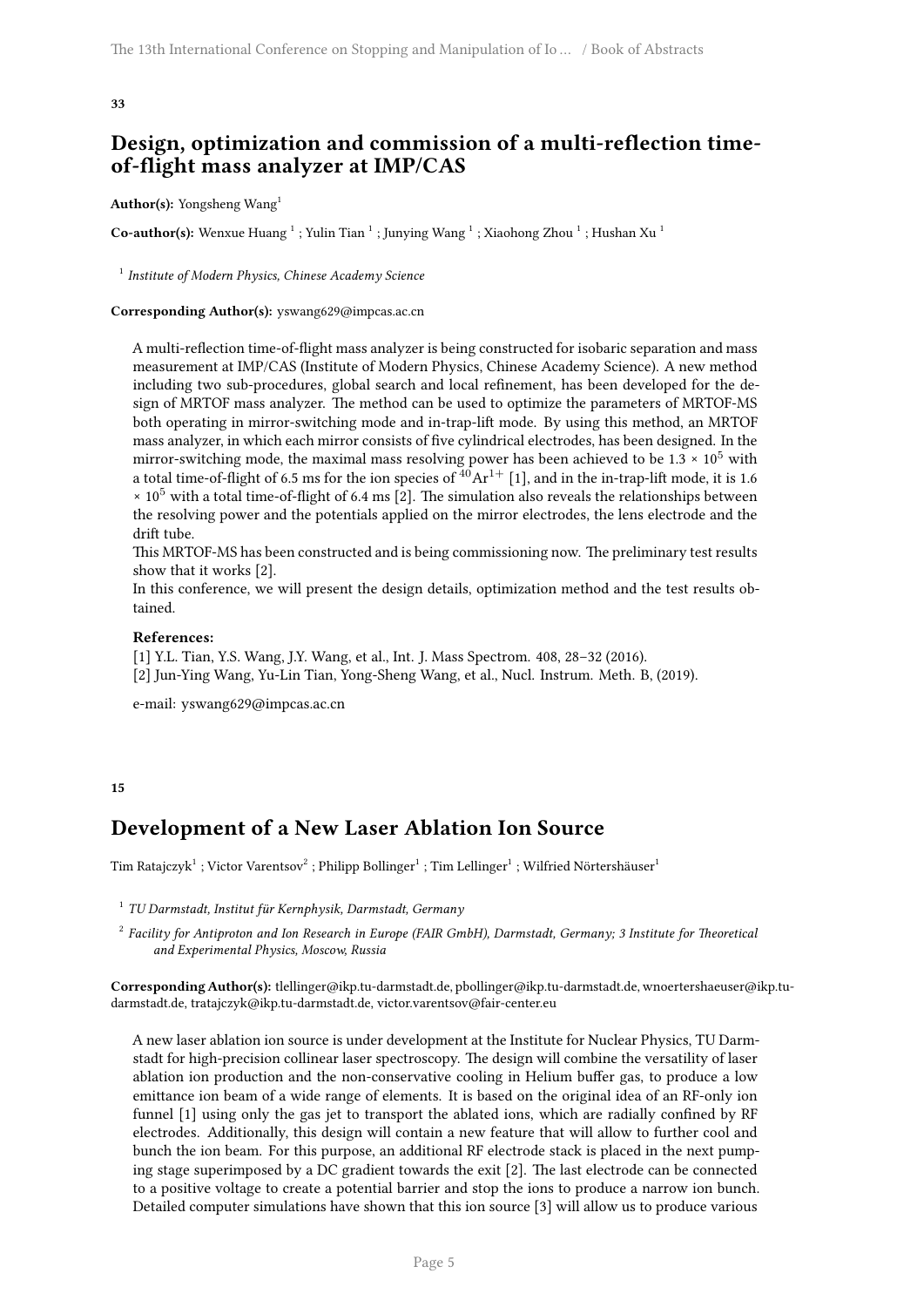## **Design, optimization and commission of a multi-reflection timeof-flight mass analyzer at IMP/CAS**

#### **Author(s):** Yongsheng Wang<sup>1</sup>

 $\rm Co\text{-}author(s):$  Wenxue Huang  $^1$  ; Yulin Tian  $^1$  ; Junying Wang  $^1$  ; Xiaohong Zhou  $^1$  ; Hushan Xu  $^1$ 

1 *Institute of Modern Physics, Chinese Academy Science*

#### **Corresponding Author(s):** yswang629@impcas.ac.cn

A multi-reflection time-of-flight mass analyzer is being constructed for isobaric separation and mass measurement at IMP/CAS (Institute of Modern Physics, Chinese Academy Science). A new method including two sub-procedures, global search and local refinement, has been developed for the design of MRTOF mass analyzer. The method can be used to optimize the parameters of MRTOF-MS both operating in mirror-switching mode and in-trap-lift mode. By using this method, an MRTOF mass analyzer, in which each mirror consists of five cylindrical electrodes, has been designed. In the mirror-switching mode, the maximal mass resolving power has been achieved to be  $1.3 \times 10^5$  with a total time-of-flight of 6.5 ms for the ion species of  $40Ar^{1+}$  [1], and in the in-trap-lift mode, it is 1.6  $\times$  10<sup>5</sup> with a total time-of-flight of 6.4 ms [2]. The simulation also reveals the relationships between the resolving power and the potentials applied on the mirror electrodes, the lens electrode and the drift tube.

This MRTOF-MS has been constructed and is being commissioning now. The preliminary test results show that it works [2].

In this conference, we will present the design details, optimization method and the test results obtained.

#### **References:**

[1] Y.L. Tian, Y.S. Wang, J.Y. Wang, et al., Int. J. Mass Spectrom. 408, 28–32 (2016). [2] Jun-Ying Wang, Yu-Lin Tian, Yong-Sheng Wang, et al., Nucl. Instrum. Meth. B, (2019).

e-mail: yswang629@impcas.ac.cn

#### <span id="page-8-0"></span>**15**

## **Development of a New Laser Ablation Ion Source**

 $\mathrm{Tim\ Ratajczyk}^{1}: \mathrm{Victor\ Varentsov}^{2}: \mathrm{Philipp\ Bollinger}^{1}: \mathrm{Tim\ Lellinger}^{1}: \mathrm{Wilfried\ Nörtershäuser}^{1}:$ 

1 *TU Darmstadt, Institut für Kernphysik, Darmstadt, Germany*

2 *Facility for Antiproton and Ion Research in Europe (FAIR GmbH), Darmstadt, Germany; 3 Institute for Theoretical and Experimental Physics, Moscow, Russia*

**Corresponding Author(s):** tlellinger@ikp.tu-darmstadt.de, pbollinger@ikp.tu-darmstadt.de, wnoertershaeuser@ikp.tudarmstadt.de, tratajczyk@ikp.tu-darmstadt.de, victor.varentsov@fair-center.eu

A new laser ablation ion source is under development at the Institute for Nuclear Physics, TU Darmstadt for high-precision collinear laser spectroscopy. The design will combine the versatility of laser ablation ion production and the non-conservative cooling in Helium buffer gas, to produce a low emittance ion beam of a wide range of elements. It is based on the original idea of an RF-only ion funnel [1] using only the gas jet to transport the ablated ions, which are radially confined by RF electrodes. Additionally, this design will contain a new feature that will allow to further cool and bunch the ion beam. For this purpose, an additional RF electrode stack is placed in the next pumping stage superimposed by a DC gradient towards the exit [2]. The last electrode can be connected to a positive voltage to create a potential barrier and stop the ions to produce a narrow ion bunch. Detailed computer simulations have shown that this ion source [3] will allow us to produce various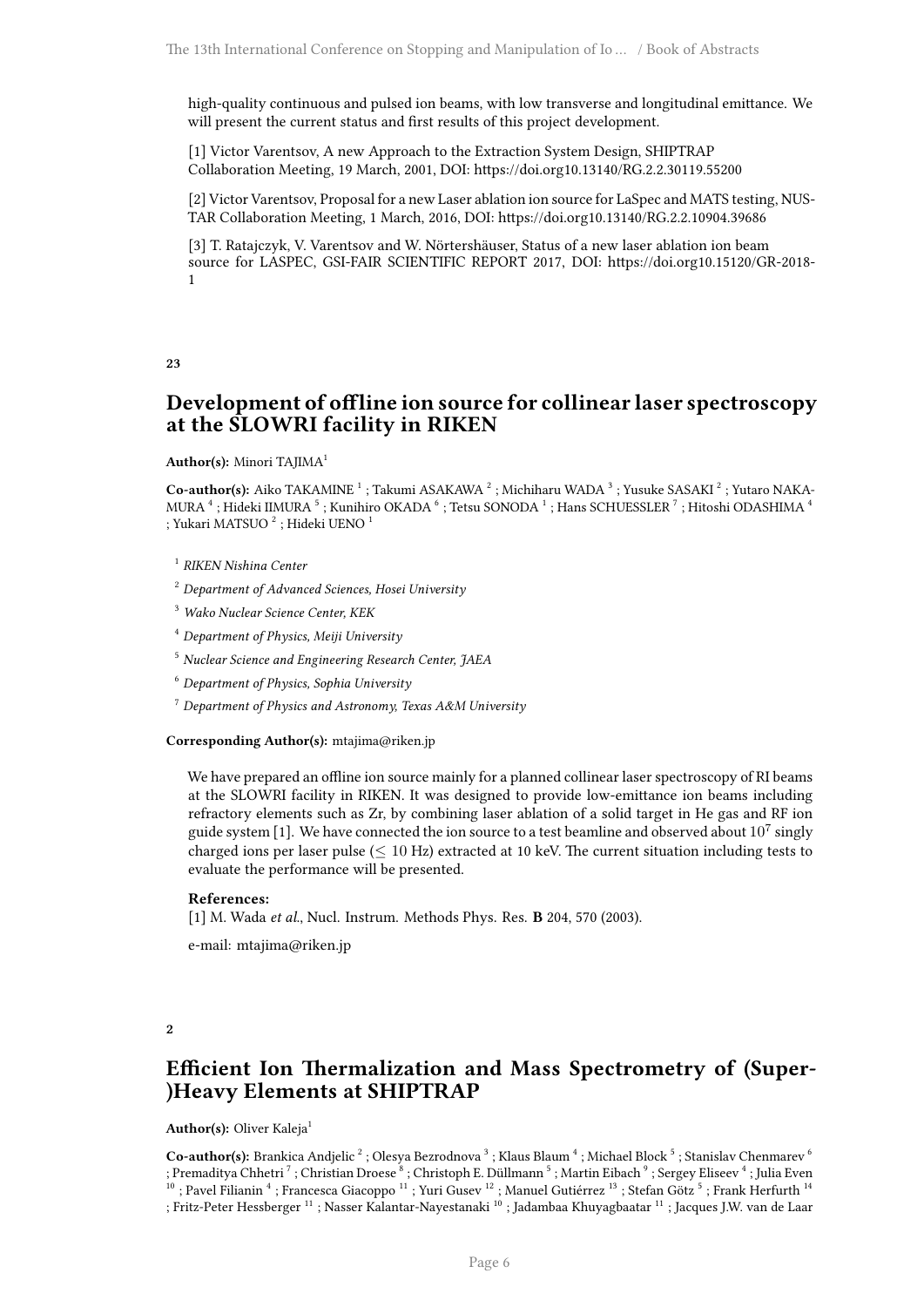high-quality continuous and pulsed ion beams, with low transverse and longitudinal emittance. We will present the current status and first results of this project development.

[1] Victor Varentsov, A new Approach to the Extraction System Design, SHIPTRAP Collaboration Meeting, 19 March, 2001, DOI: https://doi.org10.13140/RG.2.2.30119.55200

[2] Victor Varentsov, Proposal for a new Laser ablation ion source for LaSpec and MATS testing, NUS-TAR Collaboration Meeting, 1 March, 2016, DOI: https://doi.org10.13140/RG.2.2.10904.39686

[3] T. Ratajczyk, V. Varentsov and W. Nörtershäuser, Status of a new laser ablation ion beam source for LASPEC, GSI-FAIR SCIENTIFIC REPORT 2017, DOI: https://doi.org10.15120/GR-2018- 1

#### <span id="page-9-0"></span>**23**

## **Development of offline ion source for collinear laser spectroscopy at the SLOWRI facility in RIKEN**

#### **Author(s):** Minori TAJIMA<sup>1</sup>

Co-author(s): Aiko TAKAMINE<sup>1</sup>; Takumi ASAKAWA<sup>2</sup>; Michiharu WADA<sup>3</sup>; Yusuke SASAKI<sup>2</sup>; Yutaro NAKA-MURA $^4$  ; Hideki IIMURA  $^5$  ; Kunihiro OKADA  $^6$  ; Tetsu SONODA  $^1$  ; Hans SCHUESSLER  $^7$  ; Hitoshi ODASHIMA  $^4$ ; Yukari MATSUO $^2$ ; Hideki UENO $^1$ 

1 *RIKEN Nishina Center*

<sup>2</sup> *Department of Advanced Sciences, Hosei University*

<sup>3</sup> *Wako Nuclear Science Center, KEK*

<sup>4</sup> *Department of Physics, Meiji University*

<sup>5</sup> *Nuclear Science and Engineering Research Center, JAEA*

<sup>6</sup> *Department of Physics, Sophia University*

<sup>7</sup> *Department of Physics and Astronomy, Texas A&M University*

**Corresponding Author(s):** mtajima@riken.jp

We have prepared an offline ion source mainly for a planned collinear laser spectroscopy of RI beams at the SLOWRI facility in RIKEN. It was designed to provide low-emittance ion beams including refractory elements such as Zr, by combining laser ablation of a solid target in He gas and RF ion guide system [1]. We have connected the ion source to a test beamline and observed about  $10^7$  singly charged ions per laser pulse (*≤* 10 Hz) extracted at 10 keV. The current situation including tests to evaluate the performance will be presented.

#### **References:**

[1] M. Wada *et al*., Nucl. Instrum. Methods Phys. Res. **B** 204, 570 (2003).

e-mail: mtajima@riken.jp

#### <span id="page-9-1"></span>**2**

## **Efficient Ion Thermalization and Mass Spectrometry of (Super- )Heavy Elements at SHIPTRAP**

#### Author(s): Oliver Kaleja<sup>1</sup>

Co-author(s): Brankica Andjelic <sup>2</sup> ; Olesya Bezrodnova <sup>3</sup> ; Klaus Blaum <sup>4</sup> ; Michael Block <sup>5</sup> ; Stanislav Chenmarev <sup>6</sup> ; Premaditya Chhetri <sup>7</sup> ; Christian Droese <sup>8</sup> ; Christoph E. Düllmann <sup>5</sup> ; Martin Eibach <sup>9</sup> ; Sergey Eliseev <sup>4</sup> ; Julia Even  $^{10}$  ; Pavel Filianin  $^4$  ; Francesca Giacoppo  $^{11}$  ; Yuri Gusev  $^{12}$  ; Manuel Gutiérrez  $^{13}$  ; Stefan Götz  $^5$  ; Frank Herfurth  $^{14}$ ; Fritz-Peter Hessberger <sup>11</sup> ; Nasser Kalantar-Nayestanaki <sup>10</sup> ; Jadambaa Khuyagbaatar <sup>11</sup> ; Jacques J.W. van de Laar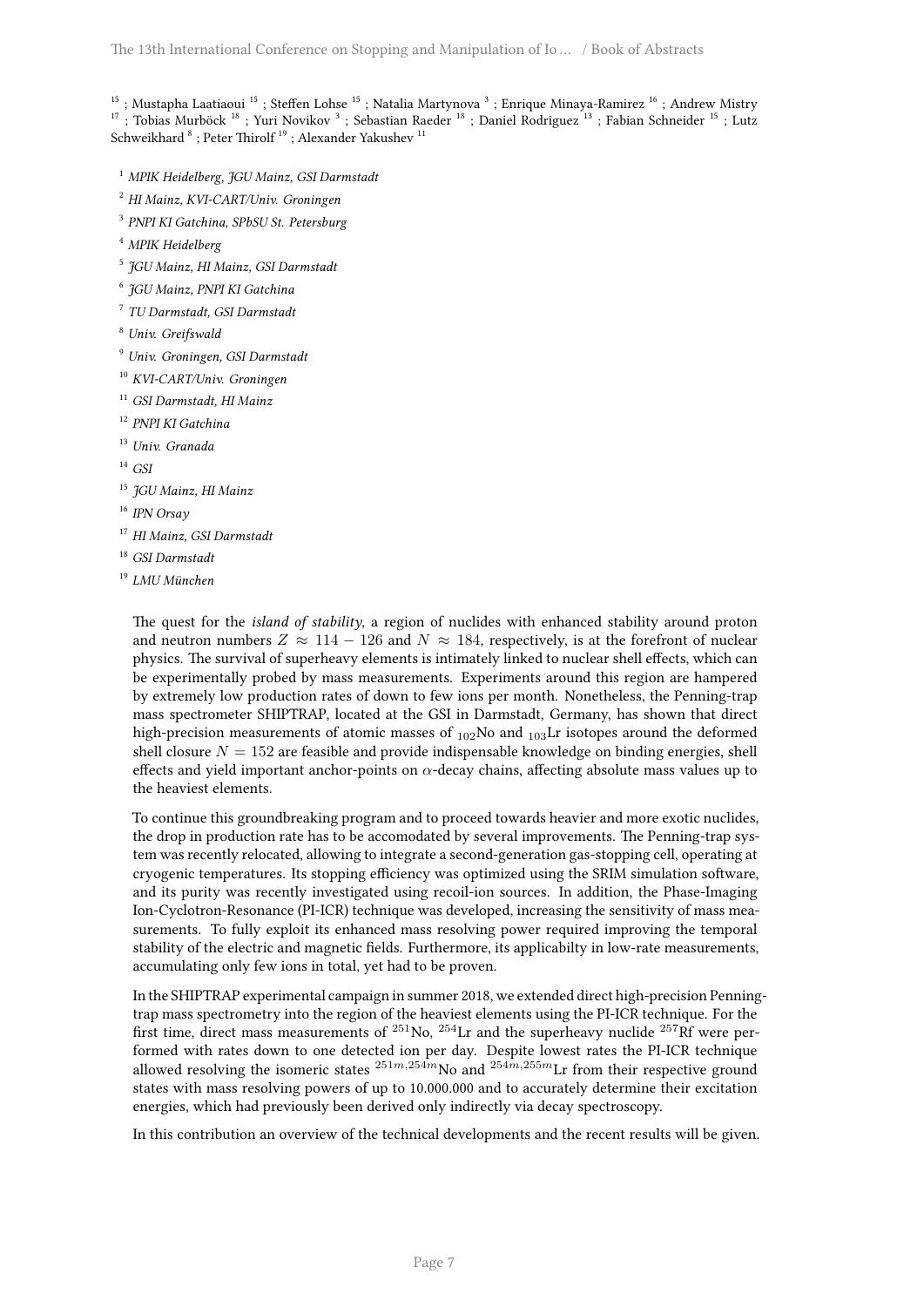<sup>15</sup>; Mustapha Laatiaoui <sup>15</sup>; Steffen Lohse <sup>15</sup>; Natalia Martynova <sup>3</sup>; Enrique Minaya-Ramirez <sup>16</sup>; Andrew Mistry <sup>17</sup>; Tobias Murböck <sup>18</sup>; Yuri Novikov <sup>3</sup>; Sebastian Raeder <sup>18</sup>; Daniel Rodriguez <sup>13</sup>; Fabian Schneider <sup>15</sup>; Lutz Schweikhard $^8$  ; Peter Thirolf  $^{19}$  ; Alexander Yakushev  $^{11}$ 

- <sup>1</sup> *MPIK Heidelberg, JGU Mainz, GSI Darmstadt*
- <sup>2</sup> *HI Mainz, KVI-CART/Univ. Groningen*
- 3 *PNPI KI Gatchina, SPbSU St. Petersburg*
- <sup>4</sup> *MPIK Heidelberg*
- 5 *JGU Mainz, HI Mainz, GSI Darmstadt*
- 6 *JGU Mainz, PNPI KI Gatchina*
- 7 *TU Darmstadt, GSI Darmstadt*
- <sup>8</sup> *Univ. Greifswald*
- <sup>9</sup> *Univ. Groningen, GSI Darmstadt*
- <sup>10</sup> *KVI-CART/Univ. Groningen*
- <sup>11</sup> *GSI Darmstadt, HI Mainz*
- <sup>12</sup> *PNPI KI Gatchina*
- <sup>13</sup> *Univ. Granada*
- <sup>14</sup> *GSI*
- <sup>15</sup> *JGU Mainz, HI Mainz*
- <sup>16</sup> *IPN Orsay*
- <sup>17</sup> *HI Mainz, GSI Darmstadt*
- <sup>18</sup> *GSI Darmstadt*
- <sup>19</sup> *LMU München*

The quest for the *island of stability*, a region of nuclides with enhanced stability around proton and neutron numbers  $Z \approx 114 - 126$  and  $N \approx 184$ , respectively, is at the forefront of nuclear physics. The survival of superheavy elements is intimately linked to nuclear shell effects, which can be experimentally probed by mass measurements. Experiments around this region are hampered by extremely low production rates of down to few ions per month. Nonetheless, the Penning-trap mass spectrometer SHIPTRAP, located at the GSI in Darmstadt, Germany, has shown that direct high-precision measurements of atomic masses of  $_{102}$ No and  $_{103}$ Lr isotopes around the deformed shell closure  $N = 152$  are feasible and provide indispensable knowledge on binding energies, shell effects and yield important anchor-points on *α*-decay chains, affecting absolute mass values up to the heaviest elements.

To continue this groundbreaking program and to proceed towards heavier and more exotic nuclides, the drop in production rate has to be accomodated by several improvements. The Penning-trap system was recently relocated, allowing to integrate a second-generation gas-stopping cell, operating at cryogenic temperatures. Its stopping efficiency was optimized using the SRIM simulation software, and its purity was recently investigated using recoil-ion sources. In addition, the Phase-Imaging Ion-Cyclotron-Resonance (PI-ICR) technique was developed, increasing the sensitivity of mass measurements. To fully exploit its enhanced mass resolving power required improving the temporal stability of the electric and magnetic fields. Furthermore, its applicabilty in low-rate measurements, accumulating only few ions in total, yet had to be proven.

In the SHIPTRAP experimental campaign in summer 2018, we extended direct high-precision Penningtrap mass spectrometry into the region of the heaviest elements using the PI-ICR technique. For the first time, direct mass measurements of  $^{251}$ No,  $^{254}$ Lr and the superheavy nuclide  $^{257}$ Rf were performed with rates down to one detected ion per day. Despite lowest rates the PI-ICR technique allowed resolving the isomeric states  $^{251m,254m}$ No and  $^{254m,255m}$ Lr from their respective ground states with mass resolving powers of up to 10.000.000 and to accurately determine their excitation energies, which had previously been derived only indirectly via decay spectroscopy.

<span id="page-10-0"></span>In this contribution an overview of the technical developments and the recent results will be given.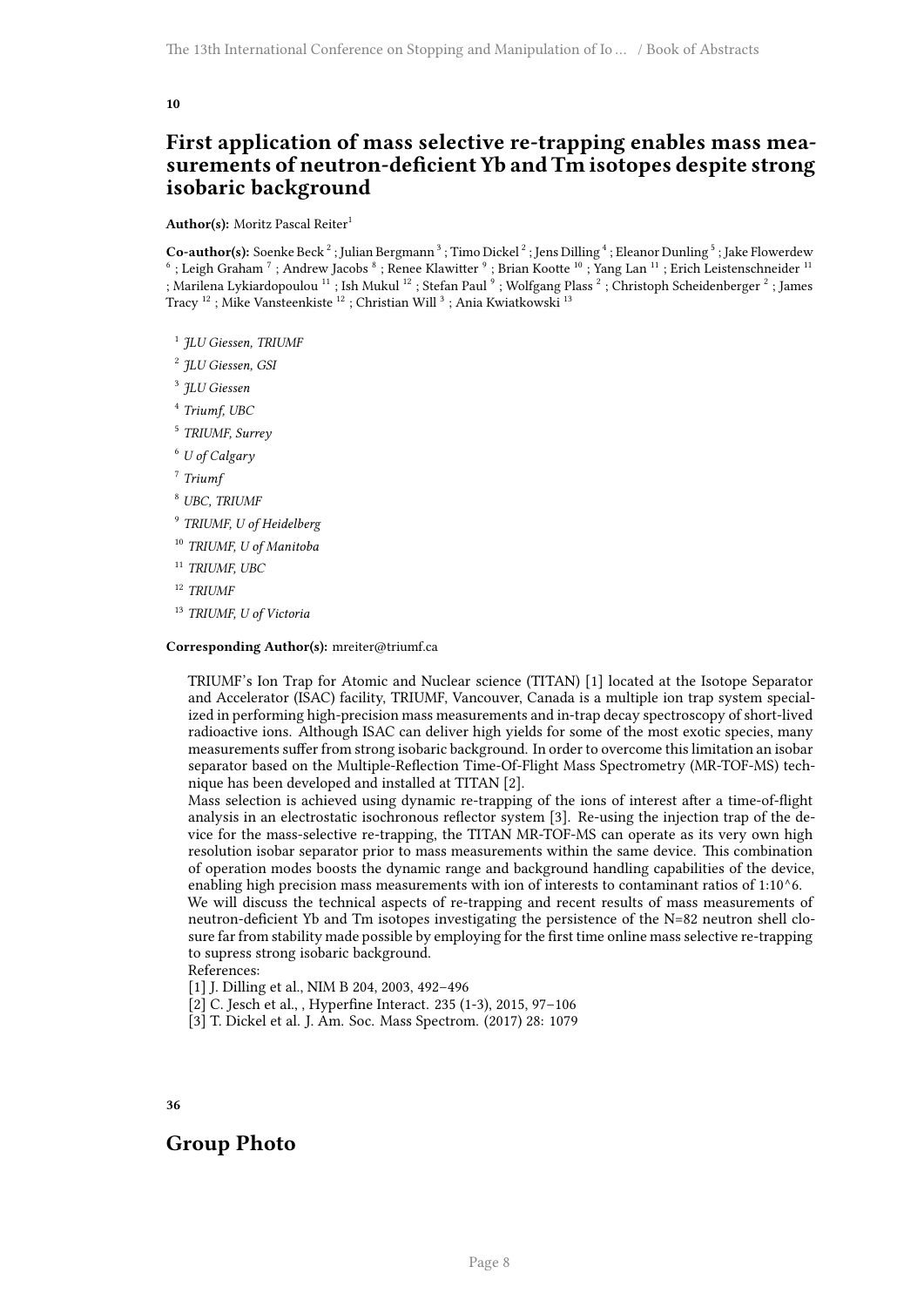## **First application of mass selective re-trapping enables mass measurements of neutron-deficient Yb and Tm isotopes despite strong isobaric background**

Author(s): Moritz Pascal Reiter<sup>1</sup>

Co-author(s): Soenke Beck<sup>2</sup>; Julian Bergmann<sup>3</sup>; Timo Dickel<sup>2</sup>; Jens Dilling<sup>4</sup>; Eleanor Dunling<sup>5</sup>; Jake Flowerdew  $^6$  ; Leigh Graham  $^7$  ; Andrew Jacobs  $^8$  ; Renee Klawitter  $^9$  ; Brian Kootte  $^{10}$  ; Yang Lan  $^{11}$  ; Erich Leistenschneider  $^{11}$ ; Marilena Lykiardopoulou  $^{11}$  ; Ish Mukul  $^{12}$  ; Stefan Paul  $^9$  ; Wolfgang Plass  $^2$  ; Christoph Scheidenberger  $^2$  ; James Tracy $^{12}$ ; Mike Vansteenkiste $^{12}$ ; Christian Will $^{3}$ ; Ania Kwiatkowski $^{13}$ 

- 1 *JLU Giessen, TRIUMF*
- 2 *JLU Giessen, GSI*
- 3 *JLU Giessen*
- 4 *Triumf, UBC*
- 5 *TRIUMF, Surrey*
- <sup>6</sup> *U of Calgary*
- 7 *Triumf*
- <sup>8</sup> *UBC, TRIUMF*
- 9 *TRIUMF, U of Heidelberg*
- <sup>10</sup> *TRIUMF, U of Manitoba*
- <sup>11</sup> *TRIUMF, UBC*
- <sup>12</sup> *TRIUMF*
- <sup>13</sup> *TRIUMF, U of Victoria*

#### **Corresponding Author(s):** mreiter@triumf.ca

TRIUMF's Ion Trap for Atomic and Nuclear science (TITAN) [1] located at the Isotope Separator and Accelerator (ISAC) facility, TRIUMF, Vancouver, Canada is a multiple ion trap system specialized in performing high-precision mass measurements and in-trap decay spectroscopy of short-lived radioactive ions. Although ISAC can deliver high yields for some of the most exotic species, many measurements suffer from strong isobaric background. In order to overcome this limitation an isobar separator based on the Multiple-Reflection Time-Of-Flight Mass Spectrometry (MR-TOF-MS) technique has been developed and installed at TITAN [2].

Mass selection is achieved using dynamic re-trapping of the ions of interest after a time-of-flight analysis in an electrostatic isochronous reflector system [3]. Re-using the injection trap of the device for the mass-selective re-trapping, the TITAN MR-TOF-MS can operate as its very own high resolution isobar separator prior to mass measurements within the same device. This combination of operation modes boosts the dynamic range and background handling capabilities of the device, enabling high precision mass measurements with ion of interests to contaminant ratios of 1:10^6.

We will discuss the technical aspects of re-trapping and recent results of mass measurements of neutron-deficient Yb and Tm isotopes investigating the persistence of the N=82 neutron shell closure far from stability made possible by employing for the first time online mass selective re-trapping to supress strong isobaric background.

References:

- [1] J. Dilling et al., NIM B 204, 2003, 492–496
- [2] C. Jesch et al., , Hyperfine Interact. 235 (1-3), 2015, 97–106
- [3] T. Dickel et al. J. Am. Soc. Mass Spectrom. (2017) 28: 1079

<span id="page-11-0"></span>**36**

## <span id="page-11-1"></span>**Group Photo**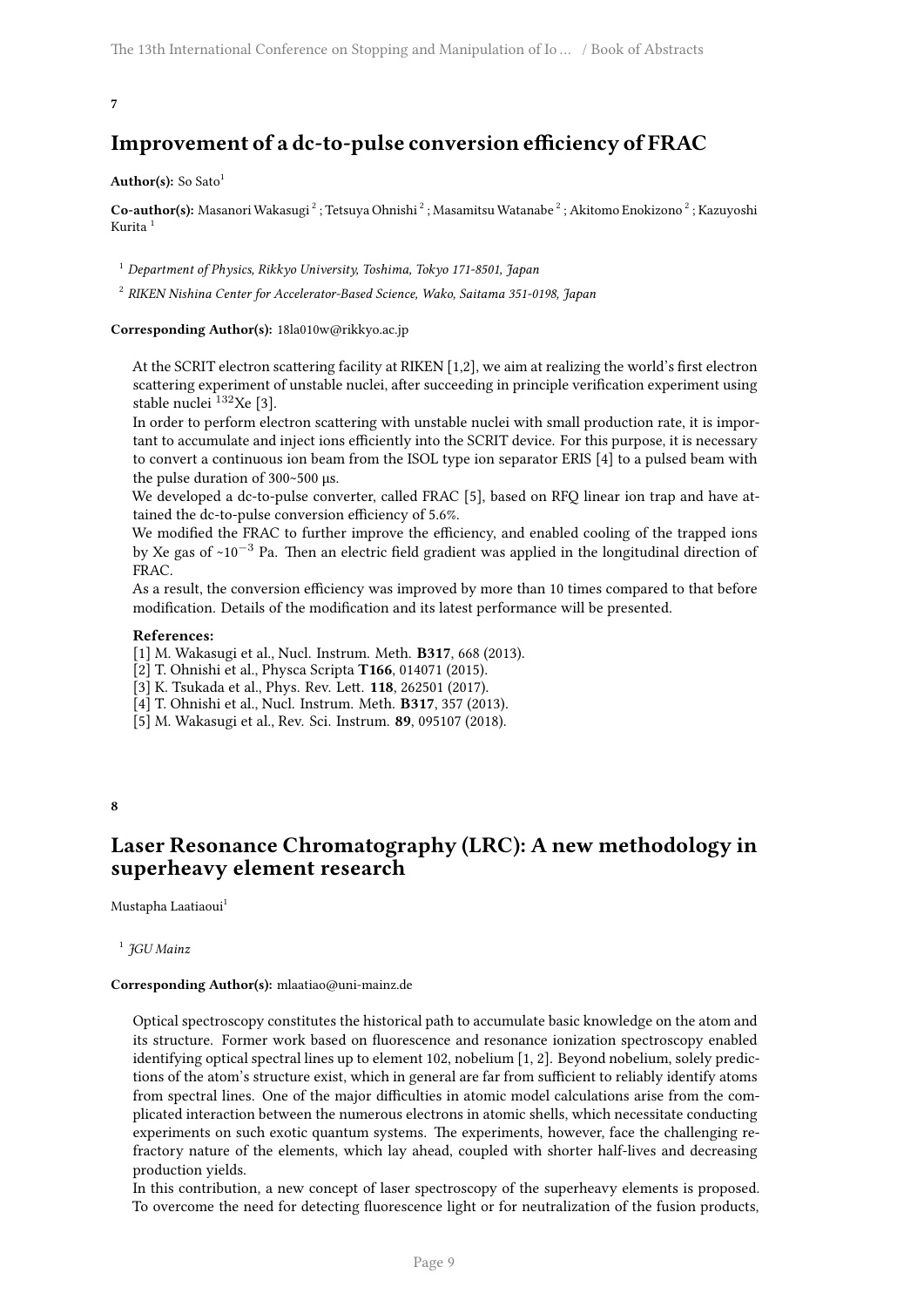## **Improvement of a dc-to-pulse conversion efficiency of FRAC**

#### Author(s): So Sato<sup>1</sup>

Co-author(s): Masanori Wakasugi <sup>2</sup> ; Tetsuya Ohnishi <sup>2</sup> ; Masamitsu Watanabe <sup>2</sup> ; Akitomo Enokizono <sup>2</sup> ; Kazuyoshi Kurita <sup>1</sup>

<sup>1</sup> *Department of Physics, Rikkyo University, Toshima, Tokyo 171-8501, Japan*

2 *RIKEN Nishina Center for Accelerator-Based Science, Wako, Saitama 351-0198, Japan*

**Corresponding Author(s):** 18la010w@rikkyo.ac.jp

At the SCRIT electron scattering facility at RIKEN [1,2], we aim at realizing the world's first electron scattering experiment of unstable nuclei, after succeeding in principle verification experiment using stable nuclei<sup>132</sup>Xe [3].

In order to perform electron scattering with unstable nuclei with small production rate, it is important to accumulate and inject ions efficiently into the SCRIT device. For this purpose, it is necessary to convert a continuous ion beam from the ISOL type ion separator ERIS [4] to a pulsed beam with the pulse duration of 300~500 μs.

We developed a dc-to-pulse converter, called FRAC [5], based on RFQ linear ion trap and have attained the dc-to-pulse conversion efficiency of 5.6%.

We modified the FRAC to further improve the efficiency, and enabled cooling of the trapped ions by Xe gas of ~10*−*<sup>3</sup> Pa. Then an electric field gradient was applied in the longitudinal direction of FRAC.

As a result, the conversion efficiency was improved by more than 10 times compared to that before modification. Details of the modification and its latest performance will be presented.

#### **References:**

[1] M. Wakasugi et al., Nucl. Instrum. Meth. **B317**, 668 (2013).

[2] T. Ohnishi et al., Physca Scripta **T166**, 014071 (2015).

[3] K. Tsukada et al., Phys. Rev. Lett. **118**, 262501 (2017).

[4] T. Ohnishi et al., Nucl. Instrum. Meth. **B317**, 357 (2013).

[5] M. Wakasugi et al., Rev. Sci. Instrum. **89**, 095107 (2018).

#### <span id="page-12-0"></span>**8**

## **Laser Resonance Chromatography (LRC): A new methodology in superheavy element research**

Mustapha Laatiaoui<sup>1</sup>

1 *JGU Mainz*

#### **Corresponding Author(s):** mlaatiao@uni-mainz.de

Optical spectroscopy constitutes the historical path to accumulate basic knowledge on the atom and its structure. Former work based on fluorescence and resonance ionization spectroscopy enabled identifying optical spectral lines up to element 102, nobelium [1, 2]. Beyond nobelium, solely predictions of the atom's structure exist, which in general are far from sufficient to reliably identify atoms from spectral lines. One of the major difficulties in atomic model calculations arise from the complicated interaction between the numerous electrons in atomic shells, which necessitate conducting experiments on such exotic quantum systems. The experiments, however, face the challenging refractory nature of the elements, which lay ahead, coupled with shorter half-lives and decreasing production yields.

In this contribution, a new concept of laser spectroscopy of the superheavy elements is proposed. To overcome the need for detecting fluorescence light or for neutralization of the fusion products,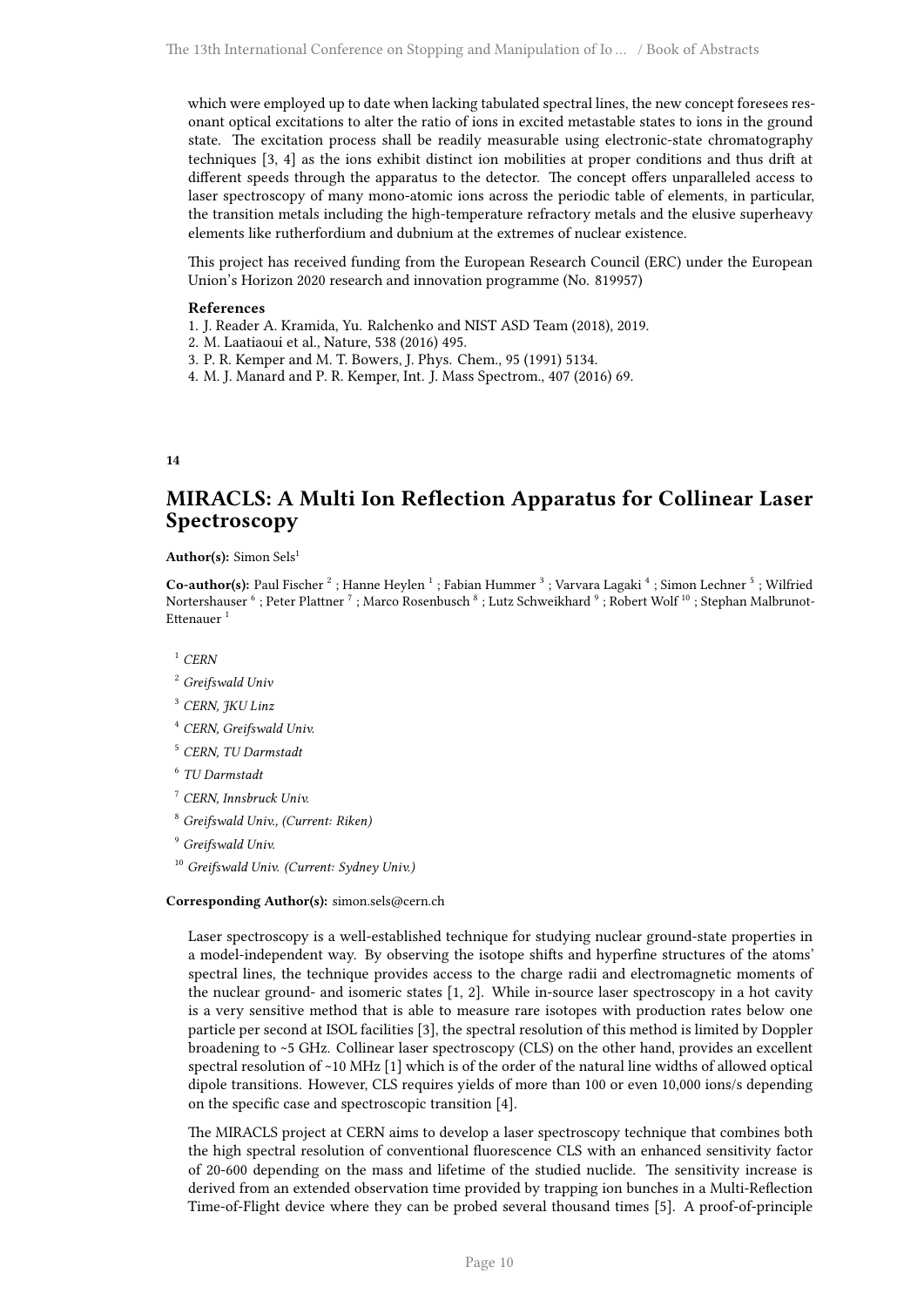which were employed up to date when lacking tabulated spectral lines, the new concept foresees resonant optical excitations to alter the ratio of ions in excited metastable states to ions in the ground state. The excitation process shall be readily measurable using electronic-state chromatography techniques [3, 4] as the ions exhibit distinct ion mobilities at proper conditions and thus drift at different speeds through the apparatus to the detector. The concept offers unparalleled access to laser spectroscopy of many mono-atomic ions across the periodic table of elements, in particular, the transition metals including the high-temperature refractory metals and the elusive superheavy elements like rutherfordium and dubnium at the extremes of nuclear existence.

This project has received funding from the European Research Council (ERC) under the European Union's Horizon 2020 research and innovation programme (No. 819957)

#### **References**

- 1. J. Reader A. Kramida, Yu. Ralchenko and NIST ASD Team (2018), 2019.
- 2. M. Laatiaoui et al., Nature, 538 (2016) 495.
- 3. P. R. Kemper and M. T. Bowers, J. Phys. Chem., 95 (1991) 5134.
- 4. M. J. Manard and P. R. Kemper, Int. J. Mass Spectrom., 407 (2016) 69.

#### <span id="page-13-0"></span>**14**

## **MIRACLS: A Multi Ion Reflection Apparatus for Collinear Laser Spectroscopy**

#### Author(s): Simon Sels<sup>1</sup>

Co-author(s): Paul Fischer<sup>2</sup>; Hanne Heylen<sup>1</sup>; Fabian Hummer<sup>3</sup>; Varvara Lagaki<sup>4</sup>; Simon Lechner<sup>5</sup>; Wilfried Nortershauser  $^6$  ; Peter Plattner  $^7$  ; Marco Rosenbusch  $^8$  ; Lutz Schweikhard  $^9$  ; Robert Wolf  $^{10}$  ; Stephan Malbrunot-Ettenauer<sup>1</sup>

<sup>1</sup> *CERN*

- <sup>3</sup> *CERN, JKU Linz*
- <sup>4</sup> *CERN, Greifswald Univ.*
- <sup>5</sup> *CERN, TU Darmstadt*
- 6 *TU Darmstadt*
- <sup>7</sup> *CERN, Innsbruck Univ.*
- <sup>8</sup> *Greifswald Univ., (Current: Riken)*
- <sup>9</sup> *Greifswald Univ.*
- <sup>10</sup> *Greifswald Univ. (Current: Sydney Univ.)*

#### **Corresponding Author(s):** simon.sels@cern.ch

Laser spectroscopy is a well-established technique for studying nuclear ground-state properties in a model-independent way. By observing the isotope shifts and hyperfine structures of the atoms' spectral lines, the technique provides access to the charge radii and electromagnetic moments of the nuclear ground- and isomeric states [1, 2]. While in-source laser spectroscopy in a hot cavity is a very sensitive method that is able to measure rare isotopes with production rates below one particle per second at ISOL facilities [3], the spectral resolution of this method is limited by Doppler broadening to ~5 GHz. Collinear laser spectroscopy (CLS) on the other hand, provides an excellent spectral resolution of ~10 MHz [1] which is of the order of the natural line widths of allowed optical dipole transitions. However, CLS requires yields of more than 100 or even 10,000 ions/s depending on the specific case and spectroscopic transition [4].

The MIRACLS project at CERN aims to develop a laser spectroscopy technique that combines both the high spectral resolution of conventional fluorescence CLS with an enhanced sensitivity factor of 20-600 depending on the mass and lifetime of the studied nuclide. The sensitivity increase is derived from an extended observation time provided by trapping ion bunches in a Multi-Reflection Time-of-Flight device where they can be probed several thousand times [5]. A proof-of-principle

<sup>2</sup> *Greifswald Univ*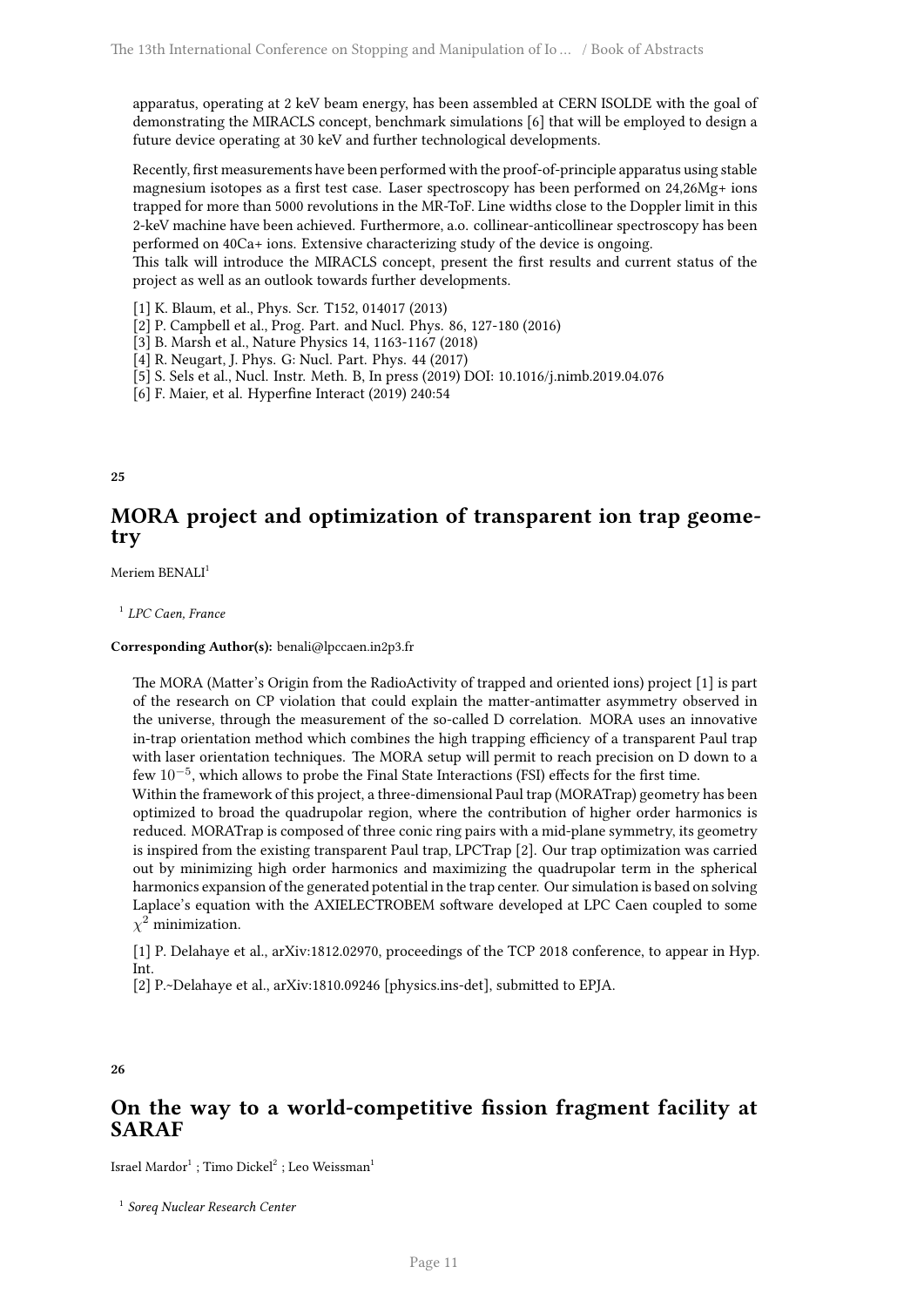apparatus, operating at 2 keV beam energy, has been assembled at CERN ISOLDE with the goal of demonstrating the MIRACLS concept, benchmark simulations [6] that will be employed to design a future device operating at 30 keV and further technological developments.

Recently, first measurements have been performed with the proof-of-principle apparatus using stable magnesium isotopes as a first test case. Laser spectroscopy has been performed on 24,26Mg+ ions trapped for more than 5000 revolutions in the MR-ToF. Line widths close to the Doppler limit in this 2-keV machine have been achieved. Furthermore, a.o. collinear-anticollinear spectroscopy has been performed on 40Ca+ ions. Extensive characterizing study of the device is ongoing.

This talk will introduce the MIRACLS concept, present the first results and current status of the project as well as an outlook towards further developments.

[1] K. Blaum, et al., Phys. Scr. T152, 014017 (2013)

[2] P. Campbell et al., Prog. Part. and Nucl. Phys. 86, 127-180 (2016)

[3] B. Marsh et al., Nature Physics 14, 1163-1167 (2018)

[4] R. Neugart, J. Phys. G: Nucl. Part. Phys. 44 (2017)

[5] S. Sels et al., Nucl. Instr. Meth. B, In press (2019) DOI: 10.1016/j.nimb.2019.04.076

[6] F. Maier, et al. Hyperfine Interact (2019) 240:54

<span id="page-14-0"></span>**25**

## **MORA project and optimization of transparent ion trap geometry**

Meriem BENALI<sup>1</sup>

1 *LPC Caen, France*

**Corresponding Author(s):** benali@lpccaen.in2p3.fr

The MORA (Matter's Origin from the RadioActivity of trapped and oriented ions) project [1] is part of the research on CP violation that could explain the matter-antimatter asymmetry observed in the universe, through the measurement of the so-called D correlation. MORA uses an innovative in-trap orientation method which combines the high trapping efficiency of a transparent Paul trap with laser orientation techniques. The MORA setup will permit to reach precision on D down to a few 10*−*<sup>5</sup> , which allows to probe the Final State Interactions (FSI) effects for the first time.

Within the framework of this project, a three-dimensional Paul trap (MORATrap) geometry has been optimized to broad the quadrupolar region, where the contribution of higher order harmonics is reduced. MORATrap is composed of three conic ring pairs with a mid-plane symmetry, its geometry is inspired from the existing transparent Paul trap, LPCTrap [2]. Our trap optimization was carried out by minimizing high order harmonics and maximizing the quadrupolar term in the spherical harmonics expansion of the generated potential in the trap center. Our simulation is based on solving Laplace's equation with the AXIELECTROBEM software developed at LPC Caen coupled to some *χ* <sup>2</sup> minimization.

[1] P. Delahaye et al., arXiv:1812.02970, proceedings of the TCP 2018 conference, to appear in Hyp. Int.

[2] P.~Delahaye et al., arXiv:1810.09246 [physics.ins-det], submitted to EPJA.

**26**

## **On the way to a world-competitive fission fragment facility at SARAF**

Israel Mardor $^1$  ; Timo Dickel $^2$  ; Leo Weissman $^1$ 

1 *Soreq Nuclear Research Center*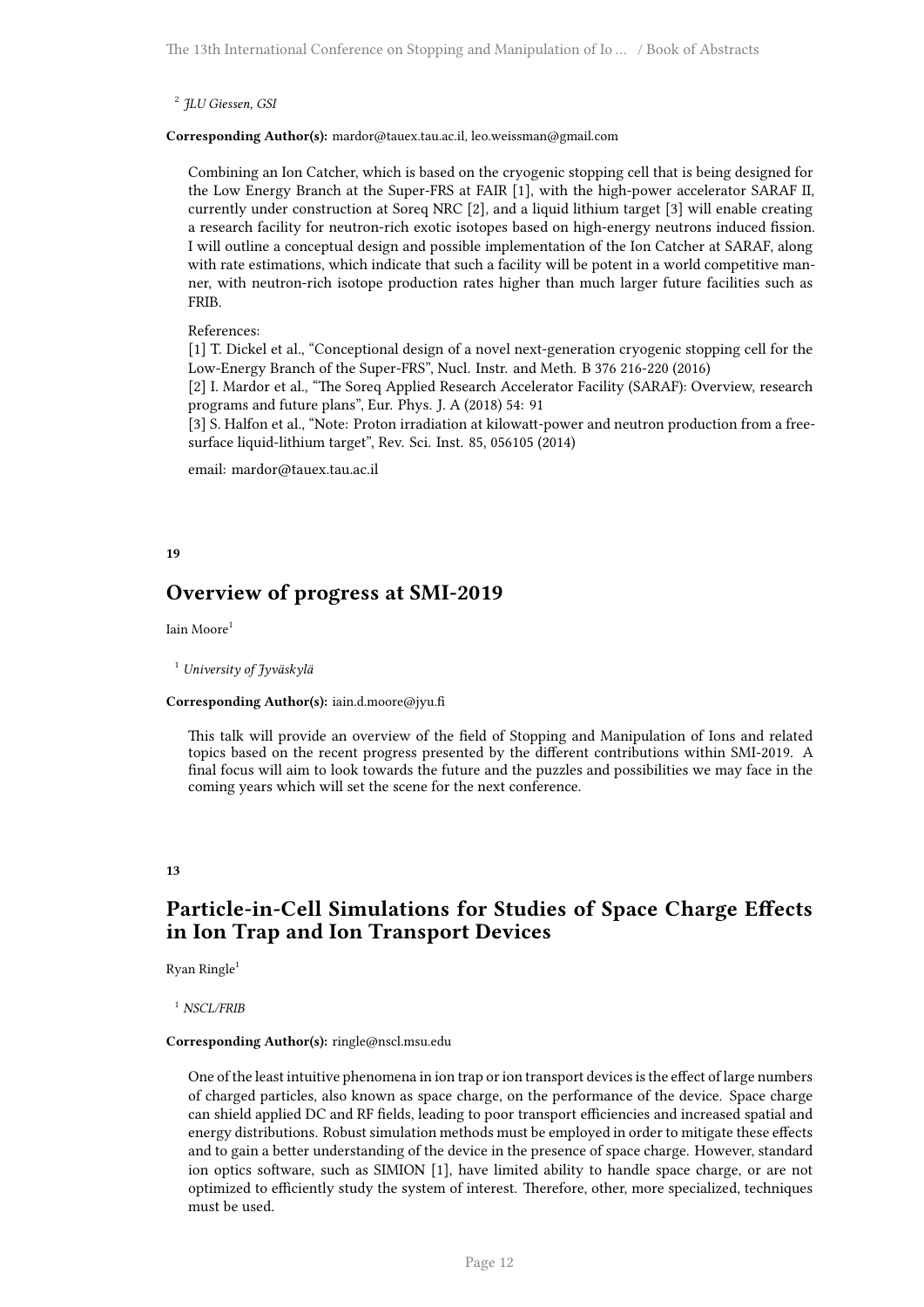2 *JLU Giessen, GSI*

**Corresponding Author(s):** mardor@tauex.tau.ac.il, leo.weissman@gmail.com

Combining an Ion Catcher, which is based on the cryogenic stopping cell that is being designed for the Low Energy Branch at the Super-FRS at FAIR [1], with the high-power accelerator SARAF II, currently under construction at Soreq NRC [2], and a liquid lithium target [3] will enable creating a research facility for neutron-rich exotic isotopes based on high-energy neutrons induced fission. I will outline a conceptual design and possible implementation of the Ion Catcher at SARAF, along with rate estimations, which indicate that such a facility will be potent in a world competitive manner, with neutron-rich isotope production rates higher than much larger future facilities such as FRIB.

#### References:

[1] T. Dickel et al., "Conceptional design of a novel next-generation cryogenic stopping cell for the Low-Energy Branch of the Super-FRS", Nucl. Instr. and Meth. B 376 216-220 (2016)

[2] I. Mardor et al., "The Soreq Applied Research Accelerator Facility (SARAF): Overview, research programs and future plans", Eur. Phys. J. A (2018) 54: 91

[3] S. Halfon et al., "Note: Proton irradiation at kilowatt-power and neutron production from a freesurface liquid-lithium target", Rev. Sci. Inst. 85, 056105 (2014)

email: mardor@tauex.tau.ac.il

#### <span id="page-15-0"></span>**19**

## **Overview of progress at SMI-2019**

Iain Moore<sup>1</sup>

<sup>1</sup> *University of Jyväskylä*

#### **Corresponding Author(s):** iain.d.moore@jyu.fi

This talk will provide an overview of the field of Stopping and Manipulation of Ions and related topics based on the recent progress presented by the different contributions within SMI-2019. A final focus will aim to look towards the future and the puzzles and possibilities we may face in the coming years which will set the scene for the next conference.

#### <span id="page-15-1"></span>**13**

## **Particle-in-Cell Simulations for Studies of Space Charge Effects in Ion Trap and Ion Transport Devices**

Ryan Ringle<sup>1</sup>

<sup>1</sup> *NSCL/FRIB*

#### **Corresponding Author(s):** ringle@nscl.msu.edu

One of the least intuitive phenomena in ion trap or ion transport devices is the effect of large numbers of charged particles, also known as space charge, on the performance of the device. Space charge can shield applied DC and RF fields, leading to poor transport efficiencies and increased spatial and energy distributions. Robust simulation methods must be employed in order to mitigate these effects and to gain a better understanding of the device in the presence of space charge. However, standard ion optics software, such as SIMION [1], have limited ability to handle space charge, or are not optimized to efficiently study the system of interest. Therefore, other, more specialized, techniques must be used.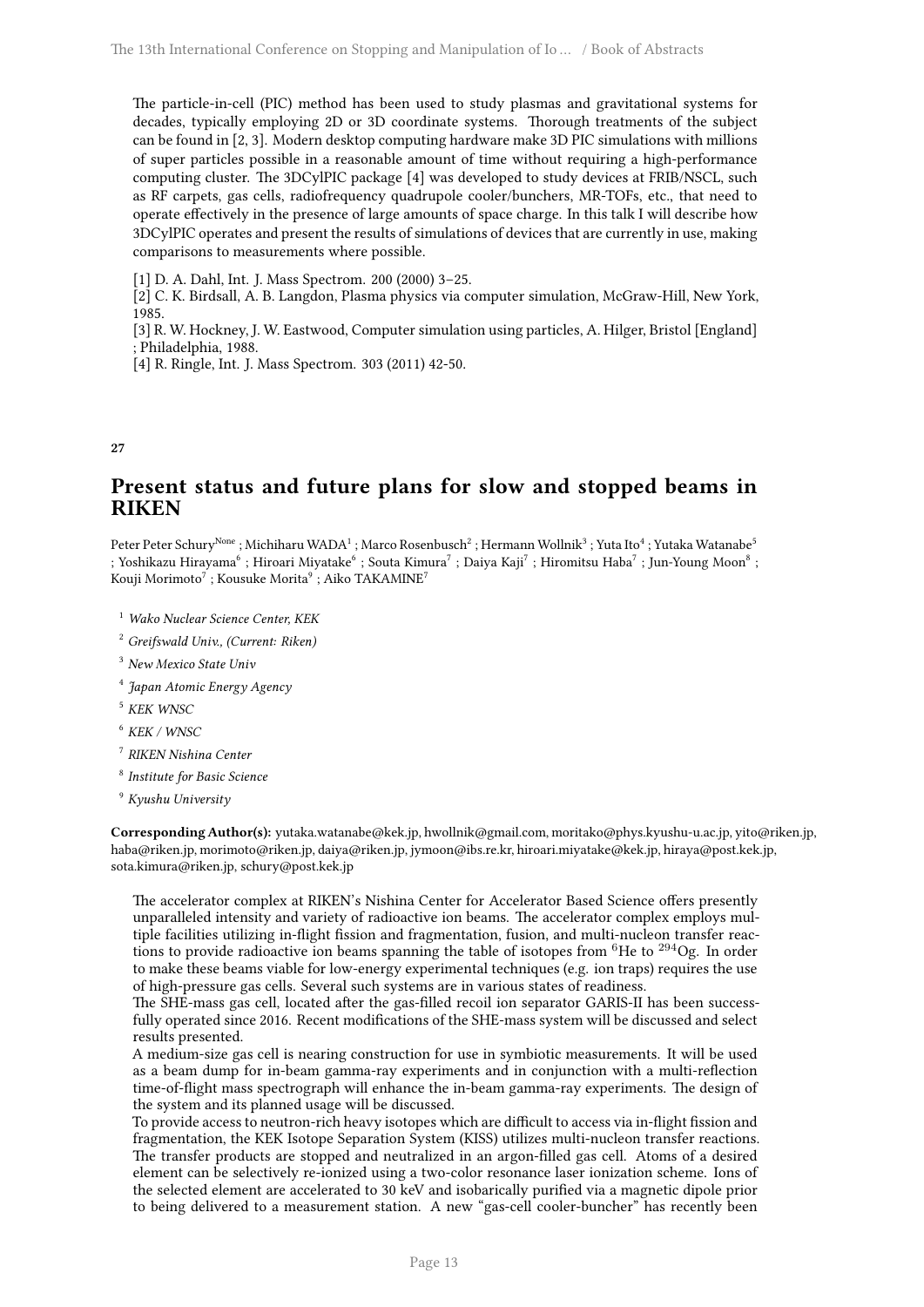The particle-in-cell (PIC) method has been used to study plasmas and gravitational systems for decades, typically employing 2D or 3D coordinate systems. Thorough treatments of the subject can be found in [2, 3]. Modern desktop computing hardware make 3D PIC simulations with millions of super particles possible in a reasonable amount of time without requiring a high-performance computing cluster. The 3DCylPIC package [4] was developed to study devices at FRIB/NSCL, such as RF carpets, gas cells, radiofrequency quadrupole cooler/bunchers, MR-TOFs, etc., that need to operate effectively in the presence of large amounts of space charge. In this talk I will describe how 3DCylPIC operates and present the results of simulations of devices that are currently in use, making comparisons to measurements where possible.

[1] D. A. Dahl, Int. J. Mass Spectrom. 200 (2000) 3–25.

[2] C. K. Birdsall, A. B. Langdon, Plasma physics via computer simulation, McGraw-Hill, New York, 1985.

[3] R. W. Hockney, J. W. Eastwood, Computer simulation using particles, A. Hilger, Bristol [England] ; Philadelphia, 1988.

[4] R. Ringle, Int. J. Mass Spectrom. 303 (2011) 42-50.

<span id="page-16-0"></span>**27**

## **Present status and future plans for slow and stopped beams in RIKEN**

Peter Peter Schury<sup>None</sup> ; Michiharu WADA<sup>1</sup> ; Marco Rosenbusch<sup>2</sup> ; Hermann Wollnik<sup>3</sup> ; Yuta Ito<sup>4</sup> ; Yutaka Watanabe<sup>5</sup> ; Yoshikazu Hirayama $^6$  ; Hiroari Miyatake $^6$  ; Souta Kimura $^7$  ; Daiya Kaji $^7$  ; Hiromitsu Haba $^7$  ; Jun-Young Moon $^8$  ; Kouji Morimoto $^7$  ; Kousuke Morita $^9$  ; Aiko TAKAMINE $^7$ 

- <sup>1</sup> *Wako Nuclear Science Center, KEK*
- <sup>2</sup> *Greifswald Univ., (Current: Riken)*
- <sup>3</sup> *New Mexico State Univ*
- 4 *Japan Atomic Energy Agency*
- <sup>5</sup> *KEK WNSC*
- <sup>6</sup> *KEK / WNSC*
- 7 *RIKEN Nishina Center*
- 8 *Institute for Basic Science*
- <sup>9</sup> *Kyushu University*

**Corresponding Author(s):** yutaka.watanabe@kek.jp, hwollnik@gmail.com, moritako@phys.kyushu-u.ac.jp, yito@riken.jp, haba@riken.jp, morimoto@riken.jp, daiya@riken.jp, jymoon@ibs.re.kr, hiroari.miyatake@kek.jp, hiraya@post.kek.jp, sota.kimura@riken.jp, schury@post.kek.jp

The accelerator complex at RIKEN's Nishina Center for Accelerator Based Science offers presently unparalleled intensity and variety of radioactive ion beams. The accelerator complex employs multiple facilities utilizing in-flight fission and fragmentation, fusion, and multi-nucleon transfer reactions to provide radioactive ion beams spanning the table of isotopes from  ${}^{6}$ He to  ${}^{294}$ Og. In order to make these beams viable for low-energy experimental techniques (e.g. ion traps) requires the use of high-pressure gas cells. Several such systems are in various states of readiness.

The SHE-mass gas cell, located after the gas-filled recoil ion separator GARIS-II has been successfully operated since 2016. Recent modifications of the SHE-mass system will be discussed and select results presented.

A medium-size gas cell is nearing construction for use in symbiotic measurements. It will be used as a beam dump for in-beam gamma-ray experiments and in conjunction with a multi-reflection time-of-flight mass spectrograph will enhance the in-beam gamma-ray experiments. The design of the system and its planned usage will be discussed.

To provide access to neutron-rich heavy isotopes which are difficult to access via in-flight fission and fragmentation, the KEK Isotope Separation System (KISS) utilizes multi-nucleon transfer reactions. The transfer products are stopped and neutralized in an argon-filled gas cell. Atoms of a desired element can be selectively re-ionized using a two-color resonance laser ionization scheme. Ions of the selected element are accelerated to 30 keV and isobarically purified via a magnetic dipole prior to being delivered to a measurement station. A new "gas-cell cooler-buncher" has recently been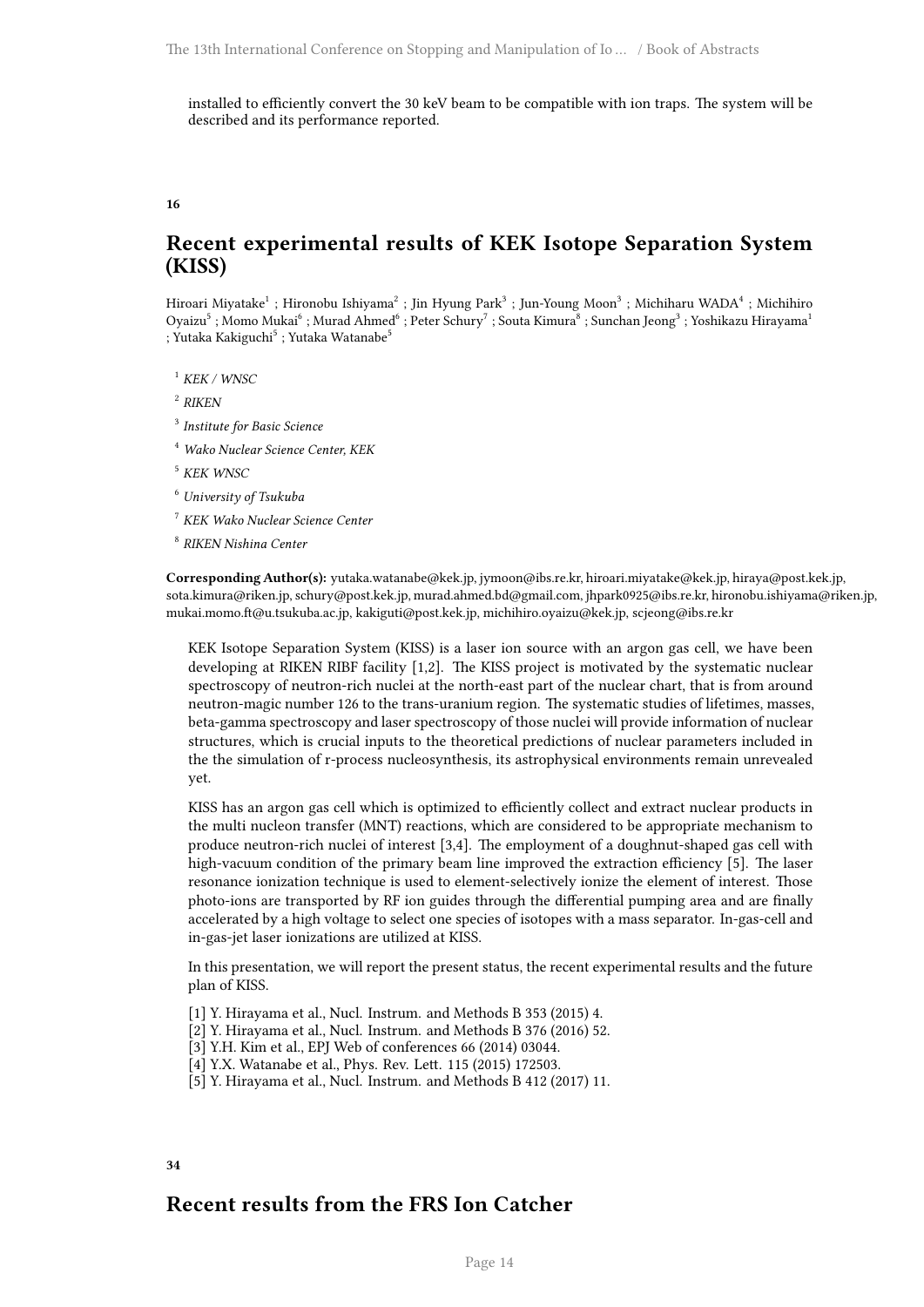installed to efficiently convert the 30 keV beam to be compatible with ion traps. The system will be described and its performance reported.

<span id="page-17-0"></span>**16**

## **Recent experimental results of KEK Isotope Separation System (KISS)**

Hiroari Miyatake<sup>1</sup> ; Hironobu Ishiyama<sup>2</sup> ; Jin Hyung Park<sup>3</sup> ; Jun-Young Moon<sup>3</sup> ; Michiharu WADA<sup>4</sup> ; Michihiro Oyaizu<sup>5</sup> ; Momo Mukai<sup>6</sup> ; Murad Ahmed<sup>6</sup> ; Peter Schury<sup>7</sup> ; Souta Kimura<sup>8</sup> ; Sunchan Jeong<sup>3</sup> ; Yoshikazu Hirayama<sup>1</sup> ; Yutaka Kakiguchi<sup>5</sup> ; Yutaka Watanabe<sup>5</sup>

<sup>1</sup> *KEK / WNSC*

2 *RIKEN*

3 *Institute for Basic Science*

<sup>4</sup> *Wako Nuclear Science Center, KEK*

<sup>5</sup> *KEK WNSC*

<sup>6</sup> *University of Tsukuba*

<sup>7</sup> *KEK Wako Nuclear Science Center*

8 *RIKEN Nishina Center*

**Corresponding Author(s):** yutaka.watanabe@kek.jp, jymoon@ibs.re.kr, hiroari.miyatake@kek.jp, hiraya@post.kek.jp, sota.kimura@riken.jp, schury@post.kek.jp, murad.ahmed.bd@gmail.com, jhpark0925@ibs.re.kr, hironobu.ishiyama@riken.jp, mukai.momo.ft@u.tsukuba.ac.jp, kakiguti@post.kek.jp, michihiro.oyaizu@kek.jp, scjeong@ibs.re.kr

KEK Isotope Separation System (KISS) is a laser ion source with an argon gas cell, we have been developing at RIKEN RIBF facility [1,2]. The KISS project is motivated by the systematic nuclear spectroscopy of neutron-rich nuclei at the north-east part of the nuclear chart, that is from around neutron-magic number 126 to the trans-uranium region. The systematic studies of lifetimes, masses, beta-gamma spectroscopy and laser spectroscopy of those nuclei will provide information of nuclear structures, which is crucial inputs to the theoretical predictions of nuclear parameters included in the the simulation of r-process nucleosynthesis, its astrophysical environments remain unrevealed yet.

KISS has an argon gas cell which is optimized to efficiently collect and extract nuclear products in the multi nucleon transfer (MNT) reactions, which are considered to be appropriate mechanism to produce neutron-rich nuclei of interest [3,4]. The employment of a doughnut-shaped gas cell with high-vacuum condition of the primary beam line improved the extraction efficiency [5]. The laser resonance ionization technique is used to element-selectively ionize the element of interest. Those photo-ions are transported by RF ion guides through the differential pumping area and are finally accelerated by a high voltage to select one species of isotopes with a mass separator. In-gas-cell and in-gas-jet laser ionizations are utilized at KISS.

In this presentation, we will report the present status, the recent experimental results and the future plan of KISS.

- [1] Y. Hirayama et al., Nucl. Instrum. and Methods B 353 (2015) 4.
- [2] Y. Hirayama et al., Nucl. Instrum. and Methods B 376 (2016) 52.
- [3] Y.H. Kim et al., EPJ Web of conferences 66 (2014) 03044.
- [4] Y.X. Watanabe et al., Phys. Rev. Lett. 115 (2015) 172503.
- [5] Y. Hirayama et al., Nucl. Instrum. and Methods B 412 (2017) 11.

<span id="page-17-1"></span>**34**

## **Recent results from the FRS Ion Catcher**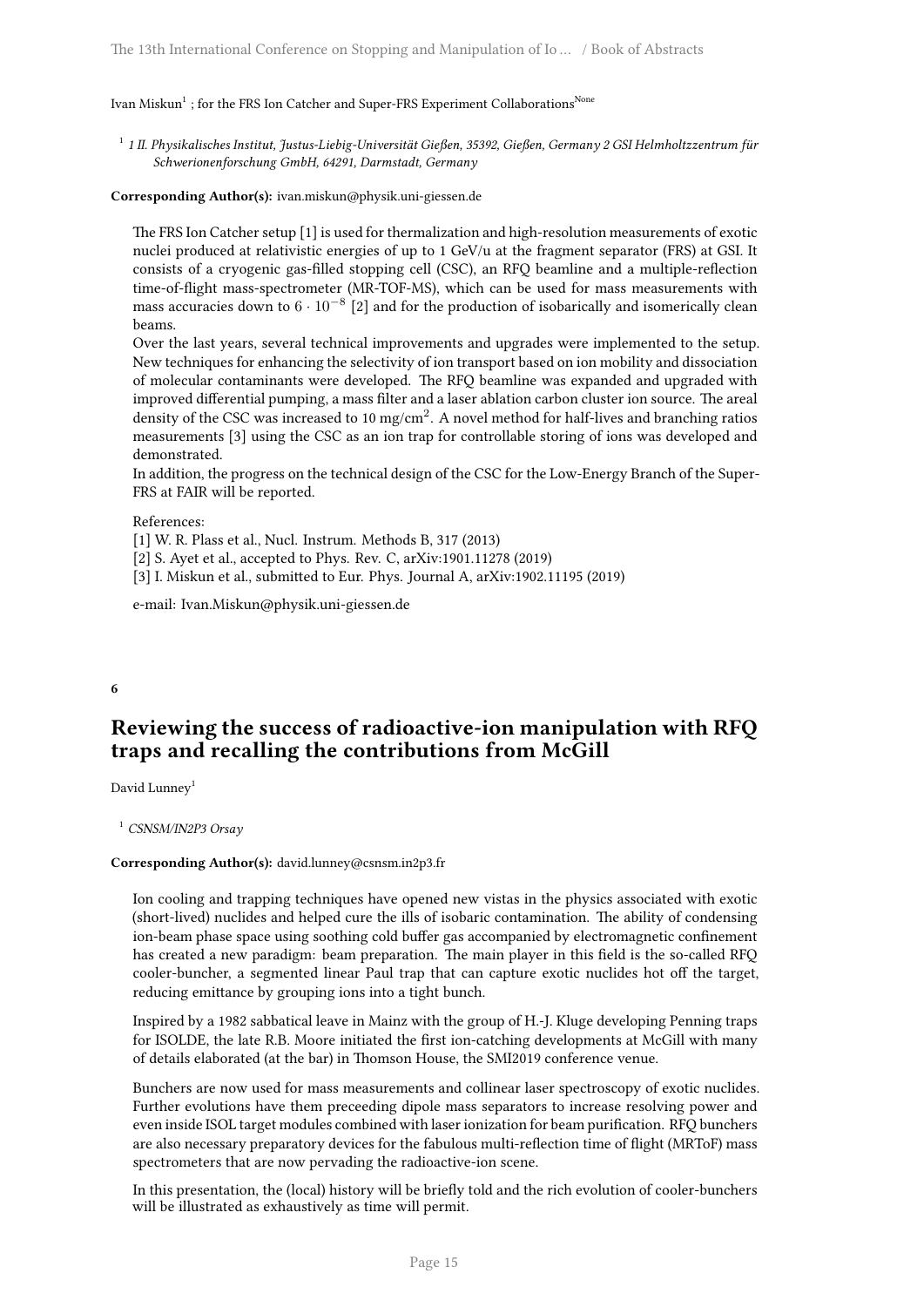Ivan Miskun $^1$  ; for the FRS Ion Catcher and Super-FRS Experiment Collaborations $^{\rm None}$ 

1 *1 II. Physikalisches Institut, Justus-Liebig-Universität Gießen, 35392, Gießen, Germany 2 GSI Helmholtzzentrum für Schwerionenforschung GmbH, 64291, Darmstadt, Germany*

#### **Corresponding Author(s):** ivan.miskun@physik.uni-giessen.de

The FRS Ion Catcher setup [1] is used for thermalization and high-resolution measurements of exotic nuclei produced at relativistic energies of up to 1 GeV/u at the fragment separator (FRS) at GSI. It consists of a cryogenic gas-filled stopping cell (CSC), an RFQ beamline and a multiple-reflection time-of-flight mass-spectrometer (MR-TOF-MS), which can be used for mass measurements with mass accuracies down to <sup>6</sup> *·* <sup>10</sup>*−*<sup>8</sup> [2] and for the production of isobarically and isomerically clean beams.

Over the last years, several technical improvements and upgrades were implemented to the setup. New techniques for enhancing the selectivity of ion transport based on ion mobility and dissociation of molecular contaminants were developed. The RFQ beamline was expanded and upgraded with improved differential pumping, a mass filter and a laser ablation carbon cluster ion source. The areal density of the CSC was increased to 10 mg/cm<sup>2</sup>. A novel method for half-lives and branching ratios measurements [3] using the CSC as an ion trap for controllable storing of ions was developed and demonstrated.

In addition, the progress on the technical design of the CSC for the Low-Energy Branch of the Super-FRS at FAIR will be reported.

References:

[1] W. R. Plass et al., Nucl. Instrum. Methods B, 317 (2013)

[2] S. Ayet et al., accepted to Phys. Rev. C, arXiv:1901.11278 (2019)

[3] I. Miskun et al., submitted to Eur. Phys. Journal A, arXiv:1902.11195 (2019)

e-mail: Ivan.Miskun@physik.uni-giessen.de

#### <span id="page-18-0"></span>**6**

## **Reviewing the success of radioactive-ion manipulation with RFQ traps and recalling the contributions from McGill**

David Lunney<sup>1</sup>

<sup>1</sup> *CSNSM/IN2P3 Orsay*

#### **Corresponding Author(s):** david.lunney@csnsm.in2p3.fr

Ion cooling and trapping techniques have opened new vistas in the physics associated with exotic (short-lived) nuclides and helped cure the ills of isobaric contamination. The ability of condensing ion-beam phase space using soothing cold buffer gas accompanied by electromagnetic confinement has created a new paradigm: beam preparation. The main player in this field is the so-called RFQ cooler-buncher, a segmented linear Paul trap that can capture exotic nuclides hot off the target, reducing emittance by grouping ions into a tight bunch.

Inspired by a 1982 sabbatical leave in Mainz with the group of H.-J. Kluge developing Penning traps for ISOLDE, the late R.B. Moore initiated the first ion-catching developments at McGill with many of details elaborated (at the bar) in Thomson House, the SMI2019 conference venue.

Bunchers are now used for mass measurements and collinear laser spectroscopy of exotic nuclides. Further evolutions have them preceeding dipole mass separators to increase resolving power and even inside ISOL target modules combined with laser ionization for beam purification. RFQ bunchers are also necessary preparatory devices for the fabulous multi-reflection time of flight (MRToF) mass spectrometers that are now pervading the radioactive-ion scene.

In this presentation, the (local) history will be briefly told and the rich evolution of cooler-bunchers will be illustrated as exhaustively as time will permit.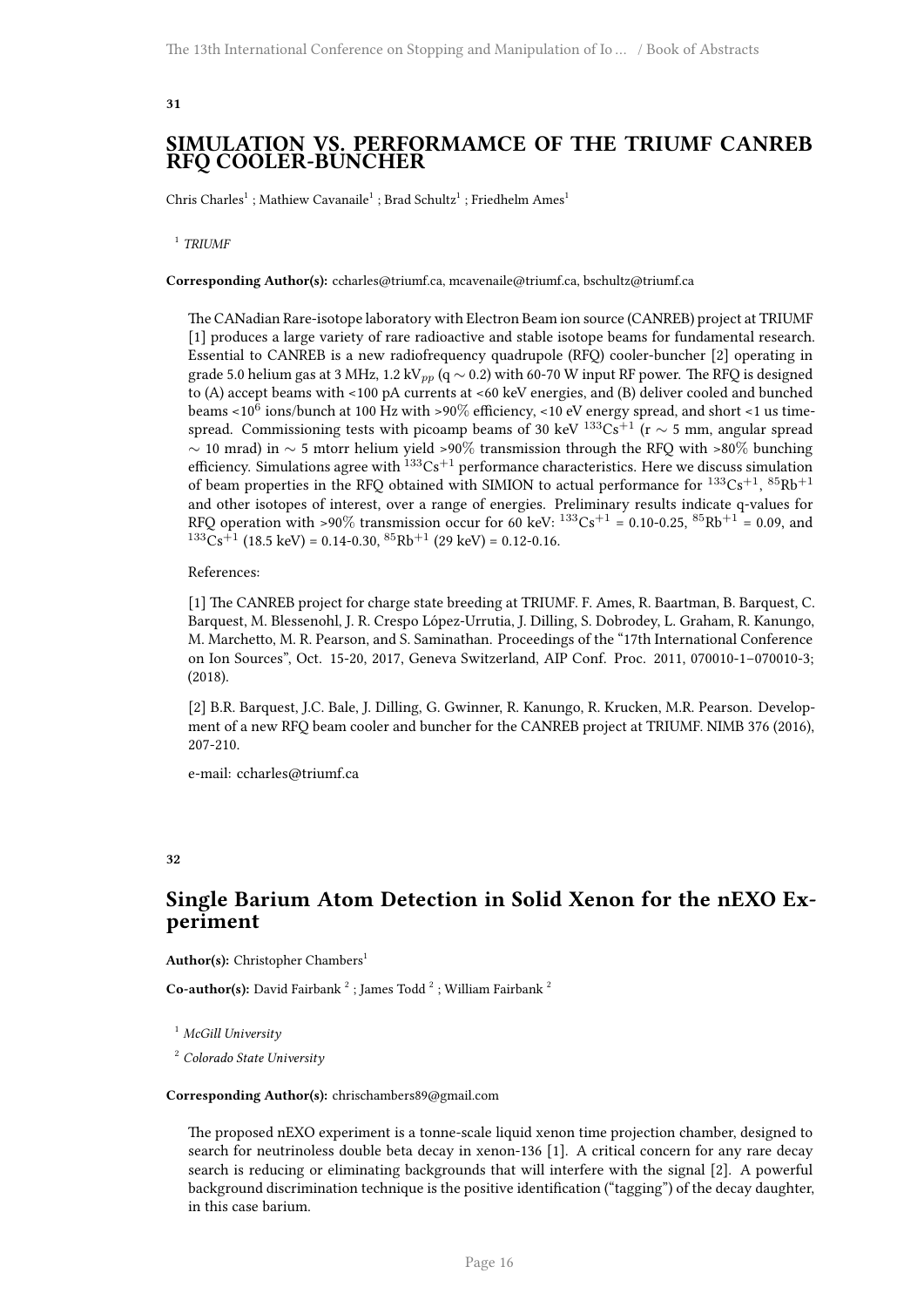### <span id="page-19-0"></span>**SIMULATION VS. PERFORMAMCE OF THE TRIUMF CANREB RFQ COOLER-BUNCHER**

Chris Charles<sup>1</sup>; Mathiew Cavanaile<sup>1</sup>; Brad Schultz<sup>1</sup>; Friedhelm Ames<sup>1</sup>

1 *TRIUMF*

**Corresponding Author(s):** ccharles@triumf.ca, mcavenaile@triumf.ca, bschultz@triumf.ca

The CANadian Rare-isotope laboratory with Electron Beam ion source (CANREB) project at TRIUMF [1] produces a large variety of rare radioactive and stable isotope beams for fundamental research. Essential to CANREB is a new radiofrequency quadrupole (RFQ) cooler-buncher [2] operating in grade 5.0 helium gas at 3 MHz, 1.2 kV*pp* (q *∼* 0.2) with 60-70 W input RF power. The RFQ is designed to (A) accept beams with <100 pA currents at <60 keV energies, and (B) deliver cooled and bunched beams <10 $^6$  ions/bunch at 100 Hz with >90 $\%$  efficiency, <10 eV energy spread, and short <1 us timespread. Commissioning tests with picoamp beams of 30 keV <sup>133</sup>Cs<sup>+1</sup> (r  $\sim$  5 mm, angular spread *∼* 10 mrad) in *∼* 5 mtorr helium yield >90% transmission through the RFQ with >80% bunching efficiency. Simulations agree with  $133\text{Cs}^{+1}$  performance characteristics. Here we discuss simulation of beam properties in the RFQ obtained with SIMION to actual performance for  $^{133}Cs^{+1}$ ,  $^{85}Rb^{+1}$ and other isotopes of interest, over a range of energies. Preliminary results indicate q-values for RFQ operation with >90% transmission occur for 60 keV:  $^{133}Cs^{+1} = 0.10-0.25$ ,  $^{85}Rb^{+1} = 0.09$ , and  $133\text{Cs}^{+1}$  (18.5 keV) = 0.14-0.30,  $85\text{Rb}^{+1}$  (29 keV) = 0.12-0.16.

#### References:

[1] The CANREB project for charge state breeding at TRIUMF. F. Ames, R. Baartman, B. Barquest, C. Barquest, M. Blessenohl, J. R. Crespo López-Urrutia, J. Dilling, S. Dobrodey, L. Graham, R. Kanungo, M. Marchetto, M. R. Pearson, and S. Saminathan. Proceedings of the "17th International Conference on Ion Sources", Oct. 15-20, 2017, Geneva Switzerland, AIP Conf. Proc. 2011, 070010-1–070010-3; (2018).

[2] B.R. Barquest, J.C. Bale, J. Dilling, G. Gwinner, R. Kanungo, R. Krucken, M.R. Pearson. Development of a new RFQ beam cooler and buncher for the CANREB project at TRIUMF. NIMB 376 (2016), 207-210.

e-mail: ccharles@triumf.ca

#### <span id="page-19-1"></span>**32**

## **Single Barium Atom Detection in Solid Xenon for the nEXO Experiment**

Author(s): Christopher Chambers<sup>1</sup>

**Co-author(s):** David Fairbank<sup>2</sup>; James Todd<sup>2</sup>; William Fairbank<sup>2</sup>

<sup>1</sup> *McGill University*

<sup>2</sup> *Colorado State University*

#### **Corresponding Author(s):** chrischambers89@gmail.com

The proposed nEXO experiment is a tonne-scale liquid xenon time projection chamber, designed to search for neutrinoless double beta decay in xenon-136 [1]. A critical concern for any rare decay search is reducing or eliminating backgrounds that will interfere with the signal [2]. A powerful background discrimination technique is the positive identification ("tagging") of the decay daughter, in this case barium.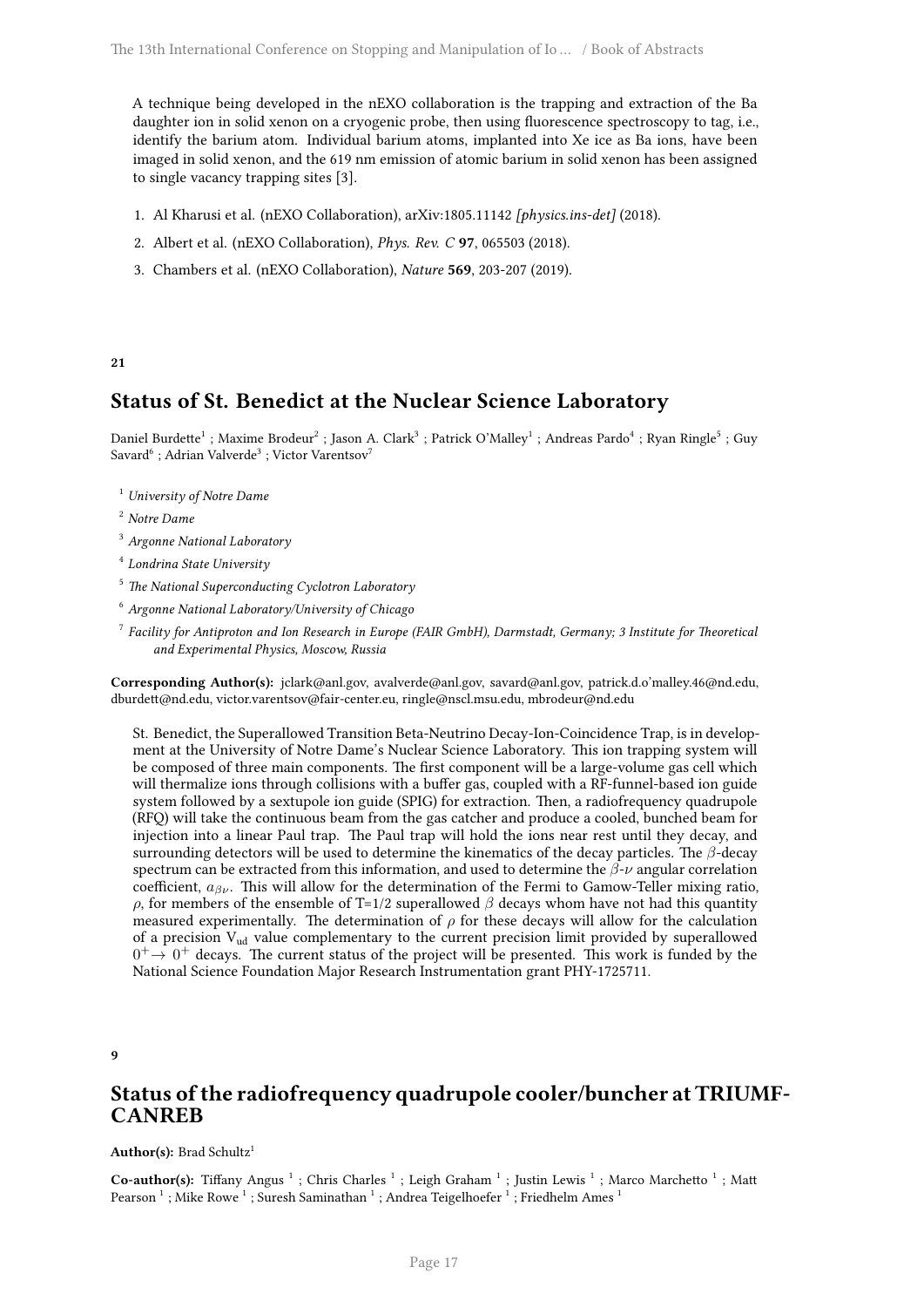A technique being developed in the nEXO collaboration is the trapping and extraction of the Ba daughter ion in solid xenon on a cryogenic probe, then using fluorescence spectroscopy to tag, i.e., identify the barium atom. Individual barium atoms, implanted into Xe ice as Ba ions, have been imaged in solid xenon, and the 619 nm emission of atomic barium in solid xenon has been assigned to single vacancy trapping sites [3].

- 1. Al Kharusi et al. (nEXO Collaboration), arXiv:1805.11142 *[physics.ins-det]* (2018).
- 2. Albert et al. (nEXO Collaboration), *Phys. Rev. C* **97**, 065503 (2018).
- 3. Chambers et al. (nEXO Collaboration), *Nature* **569**, 203-207 (2019).

#### <span id="page-20-0"></span>**21**

## **Status of St. Benedict at the Nuclear Science Laboratory**

Daniel Burdette<sup>1</sup> ; Maxime Brodeur<sup>2</sup> ; Jason A. Clark<sup>3</sup> ; Patrick O'Malley<sup>1</sup> ; Andreas Pardo<sup>4</sup> ; Ryan Ringle<sup>5</sup> ; Guy Savard $^6$  ; Adrian Valverde $^3$  ; Victor Varentsov $^7$ 

<sup>1</sup> *University of Notre Dame*

<sup>2</sup> *Notre Dame*

- <sup>3</sup> *Argonne National Laboratory*
- 4 *Londrina State University*
- <sup>5</sup> *The National Superconducting Cyclotron Laboratory*
- <sup>6</sup> *Argonne National Laboratory/University of Chicago*
- 7 *Facility for Antiproton and Ion Research in Europe (FAIR GmbH), Darmstadt, Germany; 3 Institute for Theoretical and Experimental Physics, Moscow, Russia*

**Corresponding Author(s):** jclark@anl.gov, avalverde@anl.gov, savard@anl.gov, patrick.d.o'malley.46@nd.edu, dburdett@nd.edu, victor.varentsov@fair-center.eu, ringle@nscl.msu.edu, mbrodeur@nd.edu

St. Benedict, the Superallowed Transition Beta-Neutrino Decay-Ion-Coincidence Trap, is in development at the University of Notre Dame's Nuclear Science Laboratory. This ion trapping system will be composed of three main components. The first component will be a large-volume gas cell which will thermalize ions through collisions with a buffer gas, coupled with a RF-funnel-based ion guide system followed by a sextupole ion guide (SPIG) for extraction. Then, a radiofrequency quadrupole (RFQ) will take the continuous beam from the gas catcher and produce a cooled, bunched beam for injection into a linear Paul trap. The Paul trap will hold the ions near rest until they decay, and surrounding detectors will be used to determine the kinematics of the decay particles. The *β*-decay spectrum can be extracted from this information, and used to determine the *β*-*ν* angular correlation coefficient, *aβν*. This will allow for the determination of the Fermi to Gamow-Teller mixing ratio, *ρ*, for members of the ensemble of T=1/2 superallowed  $β$  decays whom have not had this quantity measured experimentally. The determination of  $\rho$  for these decays will allow for the calculation of a precision Vud value complementary to the current precision limit provided by superallowed  $0^+ \rightarrow 0^+$  decays. The current status of the project will be presented. This work is funded by the National Science Foundation Major Research Instrumentation grant PHY-1725711.

<span id="page-20-1"></span>**9**

## **Status of the radiofrequency quadrupole cooler/buncher at TRIUMF-CANREB**

#### Author(s): Brad Schultz<sup>1</sup>

Co-author(s): Tiffany Angus<sup>1</sup>; Chris Charles<sup>1</sup>; Leigh Graham<sup>1</sup>; Justin Lewis<sup>1</sup>; Marco Marchetto<sup>1</sup>; Matt Pearson  $^1$  ; Mike Rowe  $^1$  ; Suresh Saminathan  $^1$  ; Andrea Teigelhoefer  $^1$  ; Friedhelm Ames  $^1$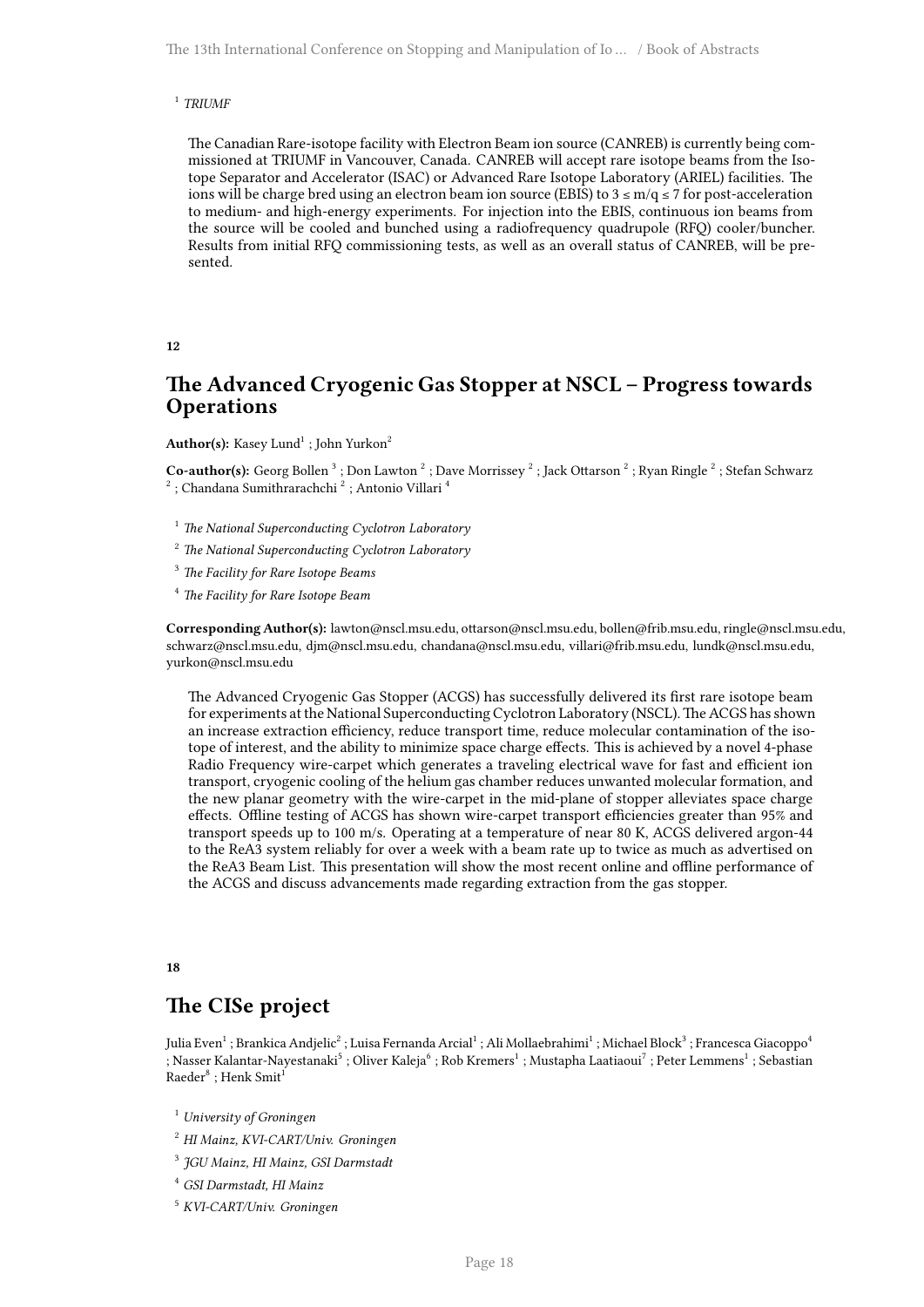#### 1 *TRIUMF*

The Canadian Rare-isotope facility with Electron Beam ion source (CANREB) is currently being commissioned at TRIUMF in Vancouver, Canada. CANREB will accept rare isotope beams from the Isotope Separator and Accelerator (ISAC) or Advanced Rare Isotope Laboratory (ARIEL) facilities. The ions will be charge bred using an electron beam ion source (EBIS) to  $3 \le m/q \le 7$  for post-acceleration to medium- and high-energy experiments. For injection into the EBIS, continuous ion beams from the source will be cooled and bunched using a radiofrequency quadrupole (RFQ) cooler/buncher. Results from initial RFQ commissioning tests, as well as an overall status of CANREB, will be presented.

#### <span id="page-21-0"></span>**12**

## **The Advanced Cryogenic Gas Stopper at NSCL – Progress towards Operations**

 $\mathbf{Author(s)}:\mathrm{Kasey}\;\mathrm{Lund}^{1}$  ; John Yurkon $^{2}$ 

 $\bf{Co}\textrm{-}author(s):$  Georg Bollen  $^3$  ; Don Lawton  $^2$  ; Dave Morrissey  $^2$  ; Jack Ottarson  $^2$  ; Ryan Ringle  $^2$  ; Stefan Schwarz  $^2$  ; Chandana Sumithrarachchi  $^2$  ; Antonio Villari  $^4$ 

- <sup>1</sup> *The National Superconducting Cyclotron Laboratory*
- <sup>2</sup> *The National Superconducting Cyclotron Laboratory*
- <sup>3</sup> *The Facility for Rare Isotope Beams*
- <sup>4</sup> *The Facility for Rare Isotope Beam*

**Corresponding Author(s):** lawton@nscl.msu.edu, ottarson@nscl.msu.edu, bollen@frib.msu.edu, ringle@nscl.msu.edu, schwarz@nscl.msu.edu, djm@nscl.msu.edu, chandana@nscl.msu.edu, villari@frib.msu.edu, lundk@nscl.msu.edu, yurkon@nscl.msu.edu

The Advanced Cryogenic Gas Stopper (ACGS) has successfully delivered its first rare isotope beam for experiments at the National Superconducting Cyclotron Laboratory (NSCL). The ACGS has shown an increase extraction efficiency, reduce transport time, reduce molecular contamination of the isotope of interest, and the ability to minimize space charge effects. This is achieved by a novel 4-phase Radio Frequency wire-carpet which generates a traveling electrical wave for fast and efficient ion transport, cryogenic cooling of the helium gas chamber reduces unwanted molecular formation, and the new planar geometry with the wire-carpet in the mid-plane of stopper alleviates space charge effects. Offline testing of ACGS has shown wire-carpet transport efficiencies greater than 95% and transport speeds up to 100 m/s. Operating at a temperature of near 80 K, ACGS delivered argon-44 to the ReA3 system reliably for over a week with a beam rate up to twice as much as advertised on the ReA3 Beam List. This presentation will show the most recent online and offline performance of the ACGS and discuss advancements made regarding extraction from the gas stopper.

#### <span id="page-21-1"></span>**18**

## **The CISe project**

Julia Even $^1$  ; Brankica Andjelic $^2$  ; Luisa Fernanda Arcial $^1$  ; Ali Mollaebrahimi $^1$  ; Michael Block $^3$  ; Francesca Giacoppo $^4$ ; Nasser Kalantar-Nayestanaki $^5$  ; Oliver Kaleja $^6$  ; Rob Kremers $^1$  ; Mustapha Laatiaoui $^7$  ; Peter Lemmens $^1$  ; Sebastian  $\mbox{Raeder}^8$  ; Henk  $\mbox{Smith}^1$ 

<sup>1</sup> *University of Groningen*

<sup>2</sup> *HI Mainz, KVI-CART/Univ. Groningen*

3 *JGU Mainz, HI Mainz, GSI Darmstadt*

<sup>4</sup> *GSI Darmstadt, HI Mainz*

<sup>5</sup> *KVI-CART/Univ. Groningen*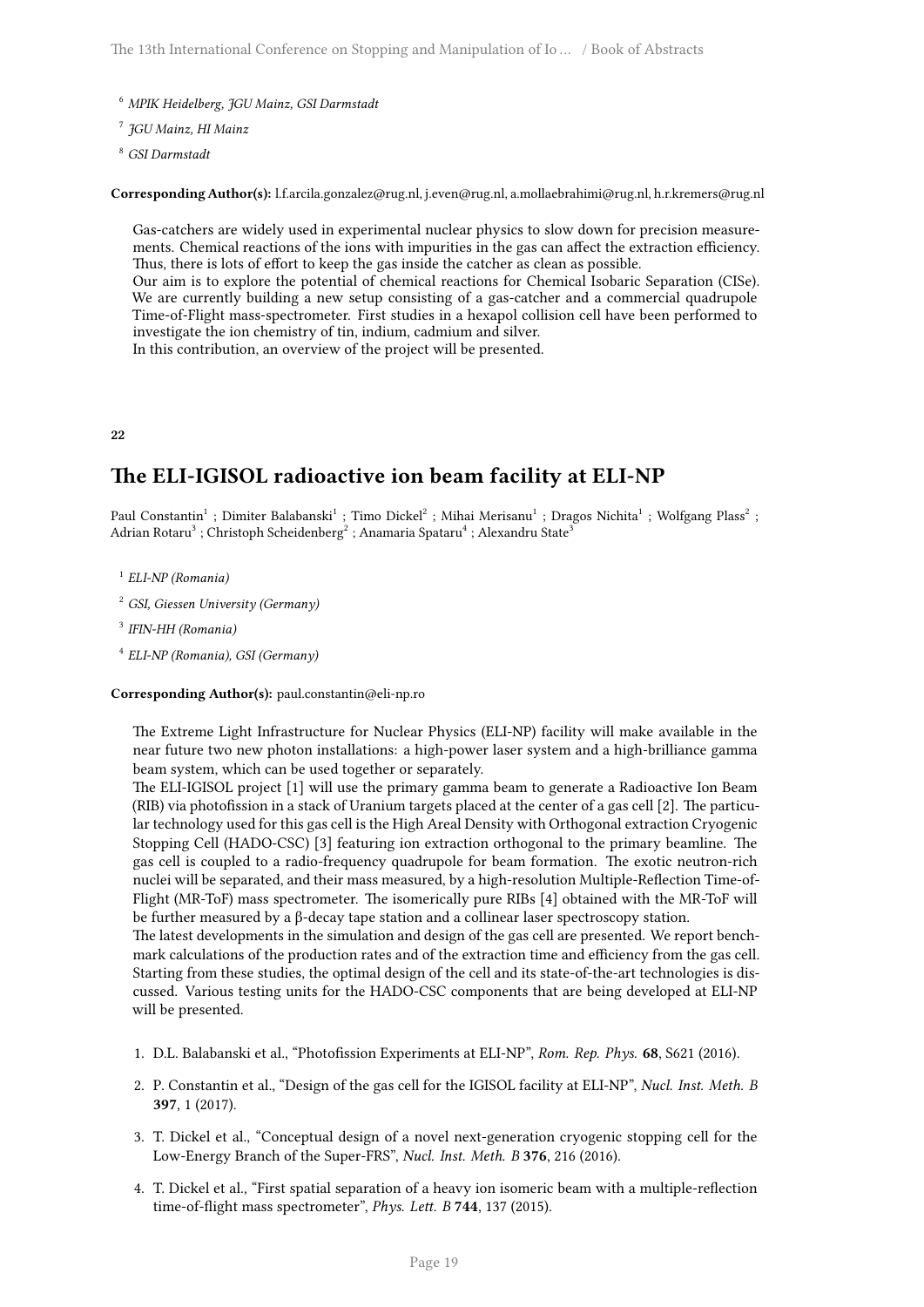- <sup>6</sup> *MPIK Heidelberg, JGU Mainz, GSI Darmstadt*
- 7 *JGU Mainz, HI Mainz*
- <sup>8</sup> *GSI Darmstadt*

**Corresponding Author(s):** l.f.arcila.gonzalez@rug.nl, j.even@rug.nl, a.mollaebrahimi@rug.nl, h.r.kremers@rug.nl

Gas-catchers are widely used in experimental nuclear physics to slow down for precision measurements. Chemical reactions of the ions with impurities in the gas can affect the extraction efficiency. Thus, there is lots of effort to keep the gas inside the catcher as clean as possible. Our aim is to explore the potential of chemical reactions for Chemical Isobaric Separation (CISe).

We are currently building a new setup consisting of a gas-catcher and a commercial quadrupole Time-of-Flight mass-spectrometer. First studies in a hexapol collision cell have been performed to investigate the ion chemistry of tin, indium, cadmium and silver.

In this contribution, an overview of the project will be presented.

<span id="page-22-0"></span>**22**

## **The ELI-IGISOL radioactive ion beam facility at ELI-NP**

Paul Constantin<sup>1</sup> ; Dimiter Balabanski<sup>1</sup> ; Timo Dickel<sup>2</sup> ; Mihai Merisanu<sup>1</sup> ; Dragos Nichita<sup>1</sup> ; Wolfgang Plass<sup>2</sup> ; Adrian Rotaru $^3$  ; Christoph Scheidenberg $^2$  ; Anamaria Spataru $^4$  ; Alexandru State $^3$ 

- 1 *ELI-NP (Romania)*
- <sup>2</sup> *GSI, Giessen University (Germany)*
- 3 *IFIN-HH (Romania)*
- 4 *ELI-NP (Romania), GSI (Germany)*

#### **Corresponding Author(s):** paul.constantin@eli-np.ro

The Extreme Light Infrastructure for Nuclear Physics (ELI-NP) facility will make available in the near future two new photon installations: a high-power laser system and a high-brilliance gamma beam system, which can be used together or separately.

The ELI-IGISOL project [1] will use the primary gamma beam to generate a Radioactive Ion Beam (RIB) via photofission in a stack of Uranium targets placed at the center of a gas cell [2]. The particular technology used for this gas cell is the High Areal Density with Orthogonal extraction Cryogenic Stopping Cell (HADO-CSC) [3] featuring ion extraction orthogonal to the primary beamline. The gas cell is coupled to a radio-frequency quadrupole for beam formation. The exotic neutron-rich nuclei will be separated, and their mass measured, by a high-resolution Multiple-Reflection Time-of-Flight (MR-ToF) mass spectrometer. The isomerically pure RIBs [4] obtained with the MR-ToF will be further measured by a β-decay tape station and a collinear laser spectroscopy station.

The latest developments in the simulation and design of the gas cell are presented. We report benchmark calculations of the production rates and of the extraction time and efficiency from the gas cell. Starting from these studies, the optimal design of the cell and its state-of-the-art technologies is discussed. Various testing units for the HADO-CSC components that are being developed at ELI-NP will be presented.

- 1. D.L. Balabanski et al., "Photofission Experiments at ELI-NP", *Rom. Rep. Phys.* **68**, S621 (2016).
- 2. P. Constantin et al., "Design of the gas cell for the IGISOL facility at ELI-NP", *Nucl. Inst. Meth. B* **397**, 1 (2017).
- 3. T. Dickel et al., "Conceptual design of a novel next-generation cryogenic stopping cell for the Low-Energy Branch of the Super-FRS", *Nucl. Inst. Meth. B* **376**, 216 (2016).
- 4. T. Dickel et al., "First spatial separation of a heavy ion isomeric beam with a multiple-reflection time-of-flight mass spectrometer", *Phys. Lett. B* **744**, 137 (2015).